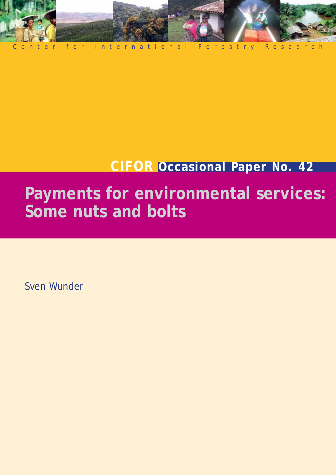

# **CIFOR Occasional Paper No. 42**

# **Payments for environmental services: Some nuts and bolts**

Sven Wunder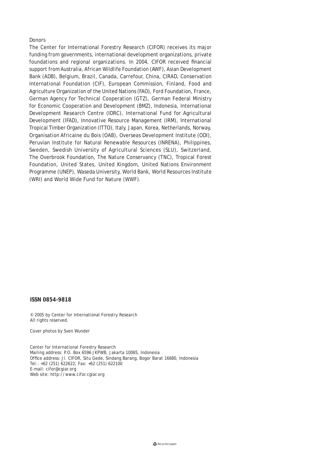#### Donors

The Center for International Forestry Research (CIFOR) receives its major funding from governments, international development organizations, private foundations and regional organizations. In 2004, CIFOR received financial support from Australia, African Wildlife Foundation (AWF), Asian Development Bank (ADB), Belgium, Brazil, Canada, Carrefour, China, CIRAD, Conservation International Foundation (CIF), European Commission, Finland, Food and Agriculture Organization of the United Nations (FAO), Ford Foundation, France, German Agency for Technical Cooperation (GTZ), German Federal Ministry for Economic Cooperation and Development (BMZ), Indonesia, International Development Research Centre (IDRC), International Fund for Agricultural Development (IFAD), Innovative Resource Management (IRM), International Tropical Timber Organization (ITTO), Italy, Japan, Korea, Netherlands, Norway, Organisation Africaine du Bois (OAB), Overseas Development Institute (ODI), Peruvian Institute for Natural Renewable Resources (INRENA), Philippines, Sweden, Swedish University of Agricultural Sciences (SLU), Switzerland, The Overbrook Foundation, The Nature Conservancy (TNC), Tropical Forest Foundation, United States, United Kingdom, United Nations Environment Programme (UNEP), Waseda University, World Bank, World Resources Institute (WRI) and World Wide Fund for Nature (WWF).

#### **ISSN 0854-9818**

© 2005 by Center for International Forestry Research All rights reserved.

Cover photos by Sven Wunder

Center for International Forestry Research Mailing address: P.O. Box 6596 JKPWB, Jakarta 10065, Indonesia Office address: Jl. CIFOR, Situ Gede, Sindang Barang, Bogor Barat 16680, Indonesia Tel.: +62 (251) 622622; Fax: +62 (251) 622100 E-mail: cifor@cgiar.org Web site: http://www.cifor.cgiar.org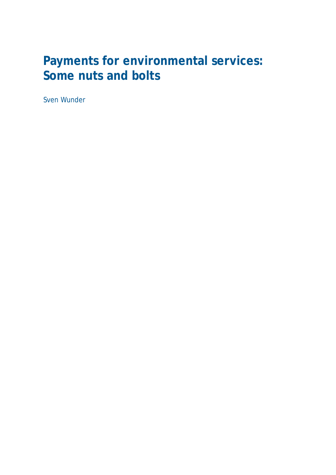## **Payments for environmental services: Some nuts and bolts**

Sven Wunder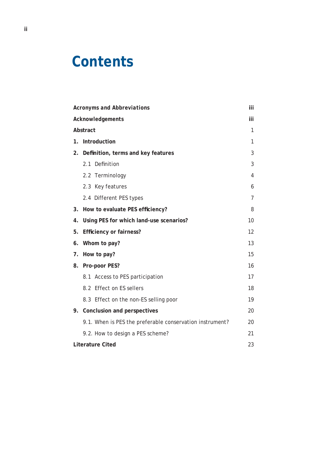# **Contents**

|                         | <b>Acronyms and Abbreviations</b>                        |                |  |
|-------------------------|----------------------------------------------------------|----------------|--|
| Acknowledgements        |                                                          |                |  |
| Abstract                |                                                          |                |  |
| 1.                      | <b>Introduction</b>                                      |                |  |
| 2.                      | Definition, terms and key features                       | 3              |  |
|                         | Definition<br>2.1                                        | 3              |  |
|                         | 2.2 Terminology                                          | $\overline{4}$ |  |
|                         | 2.3 Key features                                         | 6              |  |
|                         | 2.4 Different PES types                                  | 7              |  |
| 3.                      | How to evaluate PES efficiency?                          |                |  |
| 4.                      | 10<br>Using PES for which land-use scenarios?            |                |  |
| 5.                      | <b>Efficiency or fairness?</b>                           |                |  |
| 6.                      | Whom to pay?                                             |                |  |
| 7.                      | How to pay?                                              |                |  |
| 8.                      | Pro-poor PES?                                            | 16             |  |
|                         | 8.1 Access to PES participation                          | 17             |  |
|                         | 8.2 Effect on ES sellers                                 | 18             |  |
|                         | 8.3 Effect on the non-ES selling poor                    | 19             |  |
|                         | 9. Conclusion and perspectives                           | 20             |  |
|                         | 9.1. When is PES the preferable conservation instrument? | 20             |  |
|                         | 9.2. How to design a PES scheme?                         | 21             |  |
| <b>Literature Cited</b> |                                                          |                |  |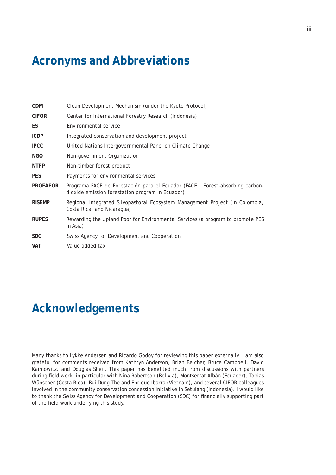## **Acronyms and Abbreviations**

| <b>CDM</b>      | Clean Development Mechanism (under the Kyoto Protocol)                                                                            |
|-----------------|-----------------------------------------------------------------------------------------------------------------------------------|
| <b>CIFOR</b>    | Center for International Forestry Research (Indonesia)                                                                            |
| ES.             | Environmental service                                                                                                             |
| <b>ICDP</b>     | Integrated conservation and development project                                                                                   |
| <b>IPCC</b>     | United Nations Intergovernmental Panel on Climate Change                                                                          |
| <b>NGO</b>      | Non-government Organization                                                                                                       |
| <b>NTFP</b>     | Non-timber forest product                                                                                                         |
| <b>PES</b>      | Payments for environmental services                                                                                               |
| <b>PROFAFOR</b> | Programa FACE de Forestación para el Ecuador (FACE - Forest-absorbing carbon-<br>dioxide emission forestation program in Ecuador) |
| <b>RISEMP</b>   | Regional Integrated Silvopastoral Ecosystem Management Project (in Colombia,<br>Costa Rica, and Nicaragua)                        |
| <b>RUPES</b>    | Rewarding the Upland Poor for Environmental Services (a program to promote PES<br>in Asia)                                        |
| SDC.            | Swiss Agency for Development and Cooperation                                                                                      |
| <b>VAT</b>      | Value added tax                                                                                                                   |

## **Acknowledgements**

Many thanks to Lykke Andersen and Ricardo Godoy for reviewing this paper externally. I am also grateful for comments received from Kathryn Anderson, Brian Belcher, Bruce Campbell, David Kaimowitz, and Douglas Sheil. This paper has benefited much from discussions with partners during field work, in particular with Nina Robertson (Bolivia), Montserrat Albán (Ecuador), Tobias Wünscher (Costa Rica), Bui Dung The and Enrique Ibarra (Vietnam), and several CIFOR colleagues involved in the community conservation concession initiative in Setulang (Indonesia). I would like to thank the Swiss Agency for Development and Cooperation (SDC) for financially supporting part of the field work underlying this study.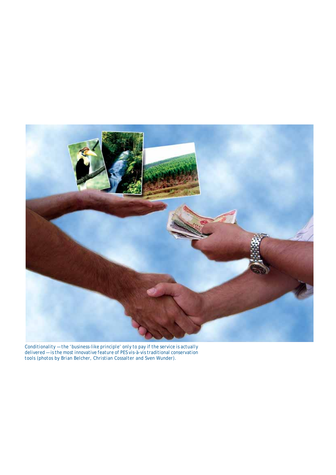

*Conditionality — the 'business-like principle' only to pay if the service is actually delivered — is the most innovative feature of PES vis-à-vis traditional conservation tools (photos by Brian Belcher, Christian Cossalter and Sven Wunder).*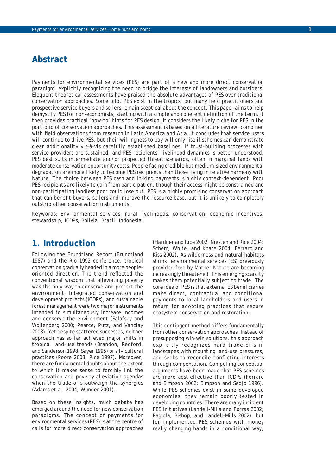## **Abstract**

*Payments for environmental services (PES) are part of a new and more direct conservation paradigm, explicitly recognizing the need to bridge the interests of landowners and outsiders. Eloquent theoretical assessments have praised the absolute advantages of PES over traditional conservation approaches. Some pilot PES exist in the tropics, but many field practitioners and prospective service buyers and sellers remain skeptical about the concept. This paper aims to help*  demystify PES for non-economists, starting with a simple and coherent definition of the term. It *then provides practical 'how-to' hints for PES design. It considers the likely niche for PES in the portfolio of conservation approaches. This assessment is based on a literature review, combined with fi eld observations from research in Latin America and Asia. It concludes that service users will continue to drive PES, but their willingness to pay will only rise if schemes can demonstrate clear additionality vis-à-vis carefully established baselines, if trust-building processes with service providers are sustained, and PES recipients' livelihood dynamics is better understood. PES best suits intermediate and/or projected threat scenarios, often in marginal lands with moderate conservation opportunity costs. People facing credible but medium-sized environmental degradation are more likely to become PES recipients than those living in relative harmony with Nature. The choice between PES cash and in-kind payments is highly context-dependent. Poor PES recipients are likely to gain from participation, though their access might be constrained and non-participating landless poor could lose out. PES is a highly promising conservation approach that can benefi t buyers, sellers and improve the resource base, but it is unlikely to completely outstrip other conservation instruments.* 

Keywords: *Environmental services, rural livelihoods, conservation, economic incentives, stewardship, ICDPs, Bolivia, Brazil, Indonesia.*

### **1. Introduction**

Following the Brundtland Report (Brundtland 1987) and the Rio 1992 conference, tropical conservation gradually headed in a more peopleoriented direction. The trend reflected the conventional wisdom that alleviating poverty was the only way to conserve and protect the environment. Integrated conservation and development projects (ICDPs), and sustainable forest management were two major instruments intended to simultaneously increase incomes and conserve the environment (Salafsky and Wollenberg 2000; Pearce, Putz, and Vanclay 2003). Yet despite scattered successes, neither approach has so far achieved major shifts in tropical land-use trends (Brandon, Redford, and Sanderson 1998; Sayer 1995) or silvicultural practices (Poore 2003; Rice 1997). Moreover, there are fundamental doubts about the extent to which it makes sense to forcibly link the conservation and poverty-alleviation agendas when the trade-offs outweigh the synergies (Adams et al. 2004; Wunder 2001).

Based on these insights, much debate has emerged around the need for new conservation paradigms. The concept of payments for environmental services (PES) is at the centre of calls for more direct conservation approaches

(Hardner and Rice 2002; Niesten and Rice 2004; Scherr, White, and Khare 2004; Ferraro and Kiss 2002). As wilderness and natural habitats shrink, environmental services (ES) previously provided free by Mother Nature are becoming increasingly threatened. This emerging scarcity makes them potentially subject to trade. The core idea of PES is that external ES beneficiaries make direct, contractual and conditional payments to local landholders and users in return for adopting practices that secure ecosystem conservation and restoration.

This contingent method differs fundamentally from other conservation approaches. Instead of presupposing win-win solutions, this approach explicitly recognizes hard trade-offs in landscapes with mounting land-use pressures, and seeks to reconcile conflicting interests through compensation. Compelling conceptual arguments have been made that PES schemes are more cost-effective than ICDPs (Ferraro and Simpson 2002; Simpson and Sedjo 1996). While PES schemes exist in some developed economies, they remain poorly tested in developing countries. There are many incipient PES initiatives (Landell-Mills and Porras 2002; Pagiola, Bishop, and Landell-Mills 2002), but for implemented PES schemes with money really changing hands in a conditional way,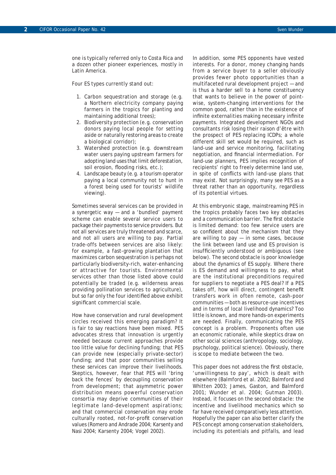one is typically referred only to Costa Rica and a dozen other pioneer experiences, mostly in Latin America.

Four ES types currently stand out:

- 1. Carbon sequestration and storage (e.g. a Northern electricity company paying farmers in the tropics for planting and maintaining additional trees);
- 2. Biodiversity protection (e.g. conservation donors paying local people for setting aside or naturally restoring areas to create a biological corridor);
- 3. Watershed protection (e.g. downstream water users paying upstream farmers for adopting land uses that limit deforestation, soil erosion, flooding risks, etc.);
- 4. Landscape beauty (e.g. a tourism operator paying a local community not to hunt in a forest being used for tourists' wildlife viewing).

Sometimes several services can be provided in a synergetic way — and a 'bundled' payment scheme can enable several service users to package their payments to service providers. But not all services are truly threatened and scarce, and not all users are willing to pay. Partial trade-offs between services are also likely: for example, a fast-growing plantation that maximizes carbon sequestration is perhaps not particularly biodiversity-rich, water-enhancing or attractive for tourists. Environmental services other than those listed above could potentially be traded (e.g. wilderness areas providing pollination services to agriculture), but so far only the four identified above exhibit significant commercial scale.

How have conservation and rural development circles received this emerging paradigm? It is fair to say reactions have been mixed. PES advocates stress that innovation is urgently needed because current approaches provide too little value for declining funding; that PES can provide new (especially private-sector) funding; and that poor communities selling these services can improve their livelihoods. Skeptics, however, fear that PES will 'bring back the fences' by decoupling conservation from development; that asymmetric power distribution means powerful conservation consortia may deprive communities of their legitimate land-development aspirations; and that commercial conservation may erode culturally rooted, not-for-profit conservation values (Romero and Andrade 2004; Karsenty and Nasi 2004; Karsenty 2004; Vogel 2002).

In addition, some PES opponents have vested interests. For a donor, money changing hands from a service buyer to a seller obviously provides fewer photo opportunities than a multifaceted rural development project — and is thus a harder sell to a home constituency that wants to believe in the power of pointwise, system-changing interventions for the common good, rather than in the existence of infinite externalities making necessary infinite payments. Integrated development NGOs and consultants risk losing their *raison d'être* with the prospect of PES replacing ICDPs; a whole different skill set would be required, such as land-use and service monitoring, facilitating negotiation, and financial intermediation. For land-use planners, PES implies recognition of recipients' right to freely determine land use, in spite of conflicts with land-use plans that may exist. Not surprisingly, many see PES as a threat rather than an opportunity, regardless of its potential virtues.

At this embryonic stage, mainstreaming PES in the tropics probably faces two key obstacles and a communication barrier. The first obstacle is limited demand: too few service users are so confident about the mechanism that they are willing to  $pay - in some cases, because$ the link between land use and ES provision is insufficiently understood or ambiguous (see below). The second obstacle is poor knowledge about the dynamics of ES supply. Where there is ES demand and willingness to pay, what are the institutional preconditions required for suppliers to negotiate a PES deal? If a PES takes off, how will direct, contingent benefit transfers work in often remote, cash-poor communities — both as resource-use incentives and in terms of local livelihood dynamics? Too little is known, and more hands-on experiments are needed. Finally, communicating the PES concept is a problem. Proponents often use an economic rationale, while skeptics draw on other social sciences (anthropology, sociology, psychology, political science). Obviously, there is scope to mediate between the two.

This paper does not address the first obstacle, 'unwillingness to pay', which is dealt with elsewhere (Balmford et al. 2002; Balmford and Whitten 2003; James, Gaston, and Balmford 2001; Wunder et al. 2004; Gutman 2003). Instead, it focuses on the second obstacle: the incentive and livelihood mechanics which so far have received comparatively less attention. Hopefully the paper can also better clarify the PES concept among conservation stakeholders, including its potentials and pitfalls, and lead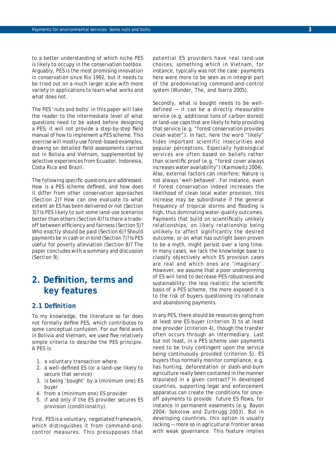to a better understanding of which niche PES is likely to occupy in the conservation toolbox. Arguably, PES is the most promising innovation in conservation since Rio 1992, but it needs to be tried out on a much larger scale with more variety in applications to learn what works and what does not.

The PES 'nuts and bolts' in this paper will take the reader to the intermediate level of what questions need to be asked before designing a PES; it will not provide a step-by-step field manual of how to implement a PES scheme. This exercise will mostly use forest-based examples, drawing on detailed field assessments carried out in Bolivia and Vietnam, supplemented by selective experiences from Ecuador, Indonesia, Costa Rica and Brazil.

The following specific questions are addressed. How is a PES scheme defined, and how does it differ from other conservation approaches (Section 2)? How can one evaluate to what extent an ES has been delivered or not (Section 3)? Is PES likely to suit some land-use scenarios better than others (Section 4)? Is there a tradeoff between efficiency and fairness (Section 5)? Who exactly should be paid (Section 6)? Should payments be in cash or in kind (Section 7)? Is PES useful for poverty alleviation (Section 8)? The paper concludes with a summary and discussion (Section 9).

## **2. Defi nition, terms and key features**

#### *2.1 Defi nition*

To my knowledge, the literature so far does not formally define PES, which contributes to some conceptual confusion. For our field work in Bolivia and Vietnam, we used five relatively simple criteria to describe the PES principle. A PES is:

- 1. a *voluntary* transaction where
- 2. a *well-defined* ES (or a land-use likely to secure that service)
- 3. is being 'bought' by a (minimum one) ES *buyer*
- 4. from a (minimum one) ES *provider*
- 5. if and only if the ES provider secures ES provision (*conditionality*).

First, PES is a voluntary, negotiated framework, which distinguishes it from command-andcontrol measures. This presupposes that potential ES providers have real land-use choices, something which in Vietnam, for instance, typically was not the case: payments here were more to be seen as in integral part of the predominating command-and-control system (Wunder, The, and Ibarra 2005).

Secondly, what is bought needs to be welldefined — it can be a directly measurable service (e.g. additional tons of carbon stored) or land-use caps that are likely to help providing that service (e.g. "forest conservation provides clean water"). In fact, here the word "likely" hides important scientific insecurities and popular perceptions. Especially hydrological services are often based on beliefs rather than scientific proof (e.g. "forest cover always increases water availability") (Kaimowitz 2004). Also, external factors can interfere; Nature is not always 'well-behaved'. For instance, even if forest conservation indeed increases the likelihood of clean local water provision, this increase may be subordinate if the general frequency of tropical storms and flooding is high, thus dominating water-quality outcomes. Payments that build on scientifically unlikely relationships, on likely relationship being unlikely to affect significantly the desired outcome, or on what has outright been proven to be a myth, might persist over a long time. In many cases, we lack the knowledge base to classify objectively which ES provision cases are real and which ones are 'imaginary'. However, we assume that a poor underpinning of ES will tend to decrease PES robustness and sustainability: the less realistic the scientific basis of a PES scheme, the more exposed it is to the risk of buyers questioning its rationale and abandoning payments.

In any PES, there should be resources going from at least one ES buyer (criterion 3) to at least one provider (criterion 4), though the transfer often occurs through an intermediary. Last but not least, in a PES scheme user payments need to be truly contingent upon the service being continuously provided (criterion 5). ES buyers thus normally monitor compliance, e.g. has hunting, deforestation or slash-and-burn agriculture really been contained in the manner stipulated in a given contract? In developed countries, supporting legal and enforcement apparatus can create the conditions for onceoff payments to provide future ES flows, for instance in permanent easements (e.g. Bayon 2004; Sokolow and Zurbrugg 2003). But in developing countries, this option is usually lacking — more so in agricultural frontier areas with weak governance. This feature implies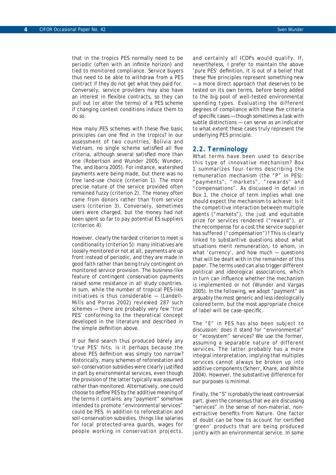that in the tropics PES normally need to be *periodic* (often with an infinite horizon) and tied to *monitored compliance*. Service buyers thus need to be able to withdraw from a PES contract if they do not get what they paid for. Conversely, service providers may also have an interest in flexible contracts, so they can pull out (or alter the terms) of a PES scheme if changing context conditions induce them to do so.

How many PES schemes with these five basic principles can one find in the tropics? In our assessment of two countries, Bolivia and Vietnam, no single scheme satisfied all five criteria, although several satisfied more than one (Robertson and Wunder 2005; Wunder, The, and Ibarra 2005). For instance, watershed payments were being made, but there was no free land-use choice (criterion 1). The more precise nature of the service provided often remained fuzzy (criterion 2). The money often came from donors rather than from service users (criterion 3). Conversely, sometimes users were charged, but the money had not been spent so far to pay potential ES suppliers (criterion 4).

However, clearly the hardest criterion to meet is conditionality (criterion 5): many initiatives are loosely monitored or not at all, payments are up front instead of periodic, and they are made in good faith rather than being truly contingent on monitored service provision. The business-like feature of contingent conservation payments raised some resistance in all study countries. In sum, while the number of tropical *PES-like initiatives* is thus considerable — (Landell-Mills and Porras 2002) reviewed 287 such schemes — there are probably very few 'true PES' conforming to the theoretical concept developed in the literature and described in the simple definition above.

If our field search thus produced barely any 'true PES' hits, is it perhaps because the above PES definition was simply too narrow? Historically, many schemes of reforestation and soil-conservation subsidies were clearly justified in part by environmental services, even though the provision of the latter typically was assumed rather than monitored. Alternatively, one could choose to define PES by the additive meaning of the terms it contains: any "payment" somehow intended to promote "environmental services" could be PES. In addition to reforestation and soil-conservation subsidies, things like salaries for local protected-area guards, wages for people working in conservation projects,

and certainly all ICDPs would qualify. If, nevertheless, I prefer to maintain the above 'pure PES' definition, it is out of a belief that these five principles represent something new — a more direct approach that deserves to be tested on its own terms, before being added to the big pool of well-tested environmental spending types. Evaluating the different degrees of compliance with these five criteria of specific cases - though sometimes a task with subtle distinctions — can serve as an indicator to what extent these cases truly represent the underlying PES principle.

#### *2.2. Terminology*

What terms have been used to describe this type of innovative mechanism? Box 1 summarizes four terms describing the remuneration mechanism (the "P" in PES): "payments", "markets", "rewards" and "compensations". As discussed in detail in Box 1, the choice of term implies what one should expect the mechanism to achieve: Is it the competitive interaction between multiple agents ("markets"), the just and equitable prize for services rendered ("reward"), or the recompense for a cost the service supplier has suffered ("compensation")? This is clearly linked to substantive questions about what situations merit remuneration, to whom, in what 'currency', and how much — questions that will be dealt with in the remainder of this paper. The terms used can also trigger different political and ideological associations, which in turn can influence whether the mechanism is implemented or not (Wunder and Vargas 2005). In the following, we adopt "payment" as arguably the most generic and less ideologically colored term, but the most appropriate choice of label will be case-specific.

The "E" in PES has also been subject to discussion: does it stand for "environmental" or "ecosystem" services? We use the former, assuming a separable nature of different services. The latter probably has a more integral interpretation, implying that multiples services cannot always be broken up into additive components (Scherr, Khare, and White 2004). However, the substantive difference for our purposes is minimal.

Finally, the "S" is probably the least controversial part, given the consensus that we are discussing "services" in the sense of non-material, nonextractive benefits from Nature. One factor of doubt can be how to account for certified 'green' products that are being produced jointly with an environmental service. In some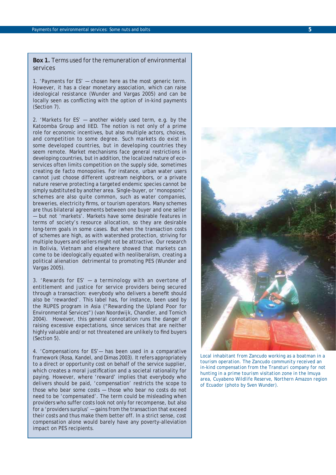**Box 1.** Terms used for the remuneration of environmental services

1. '*Payments* for ES' — chosen here as the most generic term. However, it has a clear monetary association, which can raise ideological resistance (Wunder and Vargas 2005) and can be locally seen as conflicting with the option of in-kind payments (Section 7).

2. '*Markets* for ES' — another widely used term, e.g. by the Katoomba Group and IIED. The notion is not only of a prime role for economic incentives, but also multiple actors, choices, and competition to some degree. Such markets do exist in some developed countries, but in developing countries they seem remote. Market mechanisms face general restrictions in developing countries, but in addition, the localized nature of ecoservices often limits competition on the supply side, sometimes creating *de facto* monopolies. For instance, urban water users cannot just choose different upstream neighbors, or a private nature reserve protecting a targeted endemic species cannot be simply substituted by another area. Single-buyer, or 'monopsonic' schemes are also quite common, such as water companies, breweries, electricity firms, or tourism operators. Many schemes are thus bilateral agreements between one buyer and one seller — but not 'markets'. Markets have some desirable features in terms of society's resource allocation, so they are desirable long-term goals in some cases. But when the transaction costs of schemes are high, as with watershed protection, striving for multiple buyers and sellers might not be attractive. Our research in Bolivia, Vietnam and elsewhere showed that markets can come to be ideologically equated with neoliberalism, creating a political alienation detrimental to promoting PES (Wunder and Vargas 2005).

3. '*Rewards* for ES' — a terminology with an overtone of entitlement and justice for service providers being secured through a transaction: everybody who delivers a benefit should also be 'rewarded'. This label has, for instance, been used by the RUPES program in Asia ("Rewarding the Upland Poor for Environmental Services") (van Noordwijk, Chandler, and Tomich 2004). However, this general connotation runs the danger of raising excessive expectations, since services that are neither highly valuable and/or not threatened are unlikely to find buyers (Section 5).

4. 'C*ompensations* for ES'— has been used in a comparative framework (Rosa, Kandel, and Dimas 2003). It refers appropriately to a direct or opportunity cost on behalf of the service supplier, which creates a moral justification and a societal rationality for paying. However, where 'reward' implies that everybody who delivers should be paid, 'compensation' restricts the scope to those who bear some costs — those who bear no costs do not need to be 'compensated'. The term could be misleading when providers who suffer costs look not only for recompense, but also for a 'providers surplus' — gains from the transaction that exceed their costs and thus make them better off. In a strict sense, cost compensation alone would barely have any poverty-alleviation impact on PES recipients.



*Local inhabitant from Zancudo working as a boatman in a tourism operation. The Zancudo community received an in-kind compensation from the Transturi company for not hunting in a prime tourism visitation zone in the Imuya area, Cuyabeno Wildlife Reserve, Northern Amazon region of Ecuador (photo by Sven Wunder).*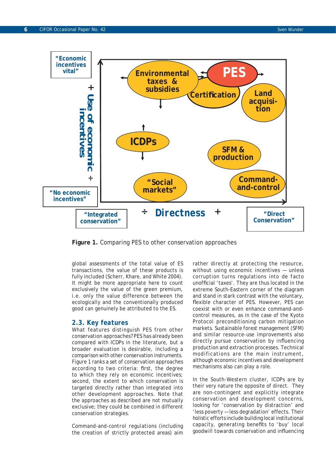

**Figure 1.** Comparing PES to other conservation approaches

global assessments of the total value of ES transactions, the value of these products is fully included (Scherr, Khare, and White 2004). It might be more appropriate here to count exclusively the value of the green premium, i.e. only the value difference between the ecologically and the conventionally produced good can genuinely be attributed to the ES.

#### *2.3. Key features*

What features distinguish PES from other conservation approaches? PES has already been compared with ICDPs in the literature, but a broader evaluation is desirable, including a comparison with other conservation instruments. Figure 1 ranks a set of conservation approaches according to two criteria: first, the degree to which they rely on economic incentives; second, the extent to which conservation is targeted directly rather than integrated into other development approaches. Note that the approaches as described are not mutually exclusive; they could be combined in different conservation strategies.

*Command-and-control regulations* (including the creation of strictly protected areas) aim rather directly at protecting the resource, without using economic incentives — unless corruption turns regulations into *de facto* unofficial 'taxes'. They are thus located in the extreme South-Eastern corner of the diagram and stand in stark contrast with the voluntary, flexible character of PES. However, PES can coexist with or even enhance command-andcontrol measures, as in the case of the Kyoto Protocol preconditioning carbon mitigation markets. *Sustainable forest management (SFM)* and similar resource-use improvements also directly pursue conservation by influencing production and extraction processes. Technical modifications are the main instrument, although economic incentives and development mechanisms also can play a role.

In the South-Western cluster, *ICDPs* are by their very nature the opposite of direct. They are non-contingent and explicitly integrate conservation and development concerns, looking for 'conservation by distraction' and 'less poverty — less degradation' effects. Their holistic efforts include building local institutional capacity, generating benefits to 'buy' local goodwill towards conservation and influencing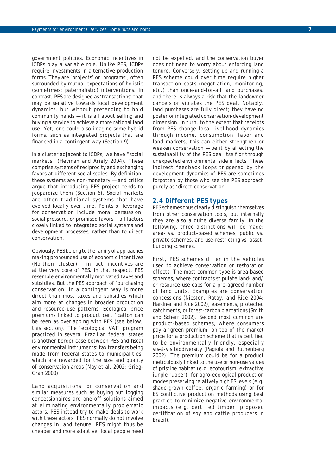government policies. Economic incentives in ICDPs play a variable role. Unlike PES, ICDPs require investments in alternative production forms. They are 'projects' or 'programs', often surrounded by mutual expectations of holistic (sometimes: paternalistic) interventions. In contrast, PES are designed as 'transactions' that may be sensitive towards local development dynamics, but without pretending to hold community hands — it is all about selling and buying a service to achieve a more rational land use. Yet, one could also imagine some hybrid forms, such as integrated projects that are financed in a contingent way (Section 9).

In a cluster adjacent to ICDPs, we have "*social markets*" (Heyman and Ariely 2004). These comprise systems of reciprocity and exchanging favors at different social scales. By definition, these systems are non-monetary — and critics argue that introducing PES project tends to jeopardize them (Section 6). Social markets are often traditional systems that have evolved locally over time. Points of leverage for conservation include moral persuasion, social pressure, or promised favors — all factors closely linked to integrated social systems and development processes, rather than to direct conservation.

Obviously, PES belong to the family of approaches making pronounced use of economic incentives (Northern cluster) — in fact, incentives are at the very core of PES. In that respect, PES resemble *environmentally motivated taxes and subsidies*. But the PES approach of 'purchasing conservation' in a contingent way is more direct than most taxes and subsidies which aim more at changes in broader production and resource-use patterns. Ecological price premiums linked to *product certification* can be seen as overlapping with PES (see below, this section). The 'ecological VAT' program practiced in several Brazilian federal states is another border case between PES and fiscal environmental instruments: tax transfers being made from federal states to municipalities, which are rewarded for the size and quality of conservation areas (May et al. 2002; Grieg-Gran 2000).

*Land acquisitions* for conservation and similar measures such as buying out logging concessionaires are one-off solutions aimed at eliminating environmentally problematic actors. PES instead try to make deals to work with these actors. PES normally do not involve changes in land tenure. PES might thus be cheaper and more adaptive, local people need

not be expelled, and the conservation buyer does not need to worry about enforcing land tenure. Conversely, setting up and running a PES scheme could over time require higher transaction costs (negotiation, monitoring, etc.) than once-and-for-all land purchases, and there is always a risk that the landowner cancels or violates the PES deal. Notably, land purchases are fully direct; they have no posterior integrated conservation-development dimension. In turn, to the extent that receipts from PES change local livelihood dynamics through income, consumption, labor and land markets, this can either strengthen or weaken conservation — be it by affecting the sustainability of the PES deal itself or through unexpected environmental side effects. These indirect feedback loops triggered by the development dynamics of PES are sometimes forgotten by those who see the PES approach purely as 'direct conservation'.

#### *2.4 Different PES types*

PES schemes thus clearly distinguish themselves from other conservation tools, but internally they are also a quite diverse family. In the following, three distinctions will be made: area- vs. product-based schemes, public vs. private schemes, and use-restricting vs. assetbuilding schemes.

First, PES schemes differ in the vehicles used to achieve conservation or restoration effects. The most common type is *area-based schemes*, where contracts stipulate land- and/ or resource-use caps for a pre-agreed number of land units. Examples are conservation concessions (Niesten, Ratay, and Rice 2004; Hardner and Rice 2002), easements, protected catchments, or forest-carbon plantations (Smith and Scherr 2002). Second most common are *product-based schemes*, where consumers pay a 'green premium' on top of the market price for a production scheme that is certified to be environmentally friendly, especially vis-à-vis biodiversity (Pagiola and Ruthenberg 2002). The premium could be for a product meticulously linked to the use or non-use values of pristine habitat (e.g. ecotourism, extractive jungle rubber), for agro-ecological production modes preserving relatively high ES levels (e.g. shade-grown coffee, organic farming) or for ES conflictive production methods using best practice to minimize negative environmental impacts (e.g. certified timber, proposed certification of soy and cattle producers in Brazil).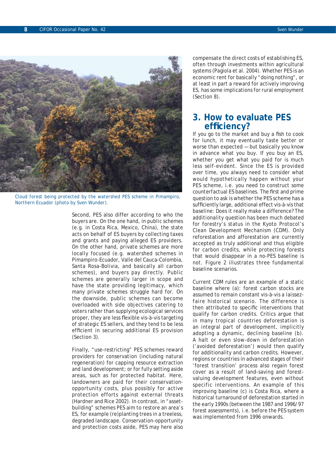

*Cloud forest being protected by the watershed PES scheme in Pimampiro, Northern Ecuador (photo by Sven Wunder).*

Second, PES also differ according to who the buyers are. On the one hand, in *public schemes*  (e.g. in Costa Rica, Mexico, China), the state acts on behalf of ES buyers by collecting taxes and grants and paying alleged ES providers. On the other hand, *private schemes* are more locally focused (e.g. watershed schemes in Pimampiro-Ecuador, Valle del Cauca-Colombia, Santa Rosa-Bolivia, and basically all carbon schemes), and buyers pay directly. Public schemes are generally larger in scope and have the state providing legitimacy, which many private schemes struggle hard for. On the downside, public schemes can become overloaded with side objectives catering to voters rather than supplying ecological services proper, they are less flexible vis-à-vis targeting of strategic ES sellers, and they tend to be less efficient in securing additional ES provision (Section 3).

Finally, "use-restricting" PES schemes reward providers for *conservation* (including natural regeneration) for capping resource extraction and land development; or for fully setting aside areas, such as for protected habitat. Here, landowners are paid for their conservationopportunity costs, plus possibly for active protection efforts against external threats (Hardner and Rice 2002). In contrast, in "assetbuilding" schemes PES aim to restore an area's ES, for example (re)planting trees in a treeless, degraded landscape. Conservation-opportunity and protection costs aside, PES may here also compensate the direct costs of establishing ES, often through investments within agricultural systems (Pagiola et al. 2004). Whether PES is an economic rent for basically "doing nothing", or at least in part a reward for actively improving ES, has some implications for rural employment (Section 8).

### **3. How to evaluate PES effi ciency?**

If you go to the market and buy a fish to cook for lunch, it may eventually taste better or worse than expected — but basically you know in advance what you buy. If you buy an ES, whether you get what you paid for is much less self-evident. Since the ES is provided over time, you always need to consider what would hypothetically happen without your PES scheme, i.e. you need to construct some *counterfactual ES baselines*. The first and prime question to ask is whether the PES scheme has a sufficiently large, additional effect vis-à-vis that baseline: Does it really make a difference? The *additionality* question has been much debated for forestry's status in the Kyoto Protocol's Clean Development Mechanism (CDM). Only reforestation and afforestation are currently accepted as truly additional and thus eligible for carbon credits, while protecting forests that would disappear in a no-PES baseline is not. Figure 2 illustrates three fundamental baseline scenarios.

Current CDM rules are an example of a static baseline where (a): forest carbon stocks are assumed to remain constant vis-à-vis a *laissezfaire* historical scenario. The difference is then attributed to specific interventions that qualify for carbon credits. Critics argue that in many tropical countries deforestation is an integral part of development, implicitly adopting a dynamic, declining baseline (b). A halt or even slow-down in deforestation ('avoided deforestation') would then qualify for additionality and carbon credits. However, regions or countries in advanced stages of their 'forest transition' process also regain forest cover as a result of land-saving and forestvaluing development features, even without specific interventions. An example of this improving baseline (c) is Costa Rica, where a historical turnaround of deforestation started in the early 1990s (between the 1987 and 1996/97 forest assessments), i.e. *before* the PES system was implemented from 1996 onwards.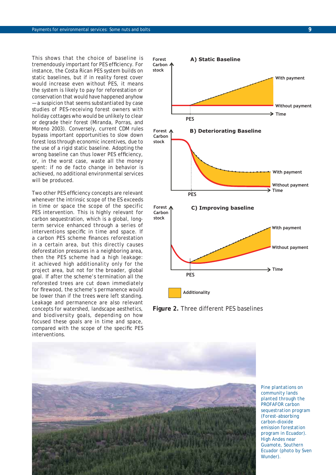This shows that the choice of baseline is tremendously important for PES efficiency. For instance, the Costa Rican PES system builds on static baselines, but if in reality forest cover would increase even without PES, it means the system is likely to pay for reforestation or conservation that would have happened anyhow — a suspicion that seems substantiated by case studies of PES-receiving forest owners with holiday cottages who would be unlikely to clear or degrade their forest (Miranda, Porras, and Moreno 2003). Conversely, current CDM rules bypass important opportunities to slow down forest loss through economic incentives, due to the use of a rigid static baseline. Adopting the wrong baseline can thus lower PES efficiency, or, in the worst case, waste all the money spent: if no *de facto* change in behavior is achieved, no additional environmental services will be produced.

Two other PES efficiency concepts are relevant whenever the intrinsic scope of the ES exceeds in time or space the scope of the specific PES intervention. This is highly relevant for carbon sequestration, which is a global, longterm service enhanced through a series of interventions specific in time and space. If a carbon PES scheme finances reforestation in a certain area, but this directly causes deforestation pressures in a neighboring area, then the PES scheme had a high *leakage*: it achieved high additionality only for the project area, but not for the broader, global goal. If after the scheme's termination all the reforested trees are cut down immediately for firewood, the scheme's *permanence* would be lower than if the trees were left standing. Leakage and permanence are also relevant concepts for watershed, landscape aesthetics, and biodiversity goals, depending on how focused these goals are in time and space, compared with the scope of the specific PES interventions.



**Figure 2.** Three different PES baselines



*Pine plantations on community lands planted through the PROFAFOR carbon sequestration program (Forest-absorbing carbon-dioxide emission forestation program in Ecuador). High Andes near Guamote, Southern Ecuador (photo by Sven Wunder).*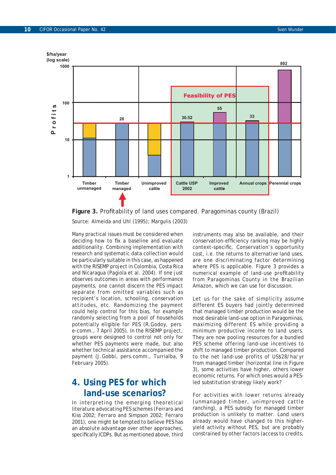

Figure 3. Profitability of land uses compared. Paragominas county (Brazil)

Source: Almeida and Uhl (1995); Margulis (2003)

Many practical issues must be considered when deciding how to fix a baseline and evaluate additionality. Combining implementation with research and systematic data collection would be particularly suitable in this case, as happened with the RISEMP project in Colombia, Costa Rica and Nicaragua (Pagiola et al. 2004). If one just observes outcomes in areas with performance payments, one cannot discern the PES impact separate from omitted variables such as recipient's location, schooling, conservation attitudes, etc. Randomizing the payment could help control for this bias, for example randomly selecting from a pool of households potentially eligible for PES (R.Godoy, pers. e-comm., 7 April 2005). In the RISEMP project, groups were designed to control not only for whether PES payments were made, but also whether technical assistance accompanied the payment (J.Gobbi, pers.comm., Turrialba, 9 February 2005).

## **4. Using PES for which land-use scenarios?**

In interpreting the emerging theoretical literature advocating PES schemes (Ferraro and Kiss 2002; Ferraro and Simpson 2002; Ferraro 2001), one might be tempted to believe PES has an *absolute advantage* over other approaches, specifically ICDPs. But as mentioned above, third instruments may also be available, and their conservation-efficiency ranking may be highly context-specific. Conservation's opportunity cost, i.e. the returns to alternative land uses, are one discriminating factor determining where PES is applicable. Figure 3 provides a numerical example of land-use profitability from Paragominas County in the Brazilian Amazon, which we can use for discussion.

Let us for the sake of simplicity assume different ES buyers had jointly determined that managed timber production would be the most desirable land-use option in Paragominas, maximizing different ES while providing a minimum productive income to land users. They are now pooling resources for a bundled PES scheme offering land-use incentives to shift to managed timber production. Compared to the net land-use profits of US\$28/ha/yr from managed timber (horizontal line in Figure 3), some activities have higher, others lower economic returns. For which ones would a PESled substitution strategy likely work?

For activities with lower returns already (unmanaged timber, unimproved cattle ranching), a PES subsidy for managed timber production is unlikely to matter. Land users already would have changed to this higheryield activity without PES, but are probably constrained by other factors (access to credits,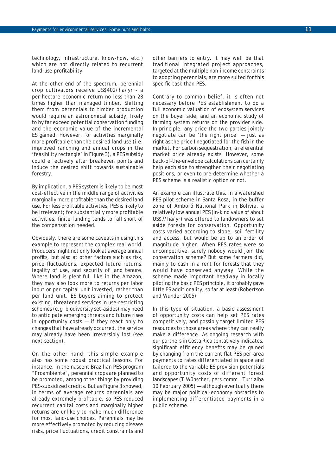technology, infrastructure, know-how, etc.) which are not directly related to recurrent land-use profitability.

At the other end of the spectrum, perennial crop cultivators receive US\$402/ha/yr - a per-hectare economic return no less than 28 times higher than managed timber. Shifting them from perennials to timber production would require an astronomical subsidy, likely to by far exceed potential conservation funding and the economic value of the incremental ES gained. However, for activities *marginally more profitable* than the desired land use (i.e. improved ranching and annual crops in the 'feasibility rectangle' in Figure 3), a PES subsidy could effectively alter breakeven points and induce the desired shift towards sustainable forestry.

By implication, a PES system is likely to be most cost-effective in the middle range of activities marginally more profitable than the desired land use. For less profitable activities, PES is likely to be irrelevant; for substantially more profitable activities, finite funding tends to fall short of the compensation needed.

Obviously, there are some caveats in using this example to represent the complex real world. Producers might not only look at average annual profits, but also at other factors such as risk, price fluctuations, expected future returns, legality of use, and security of land tenure. Where land is plentiful, like in the Amazon, they may also look more to returns per labor input or per capital unit invested, rather than per land unit. ES buyers aiming to protect existing, threatened services in use-restricting schemes (e.g. biodiversity set-asides) may need to anticipate emerging threats and future rises in opportunity costs — if they react only to changes that have already occurred, the service may already have been irreversibly lost (see next section).

On the other hand, this simple example also has some robust practical lessons. For instance, in the nascent Brazilian PES program "Proambiente", perennial crops are planned to be promoted, among other things by providing PES-subsidized credits. But as Figure 3 showed, in terms of average returns perennials are already extremely profitable, so PES-reduced recurrent capital costs and marginally higher returns are unlikely to make much difference for most land-use choices. Perennials may be more effectively promoted by reducing disease risks, price fluctuations, credit constraints and other barriers to entry. It may well be that traditional integrated project approaches, targeted at the multiple non-income constraints to adopting perennials, are more suited for this specific task than PES.

Contrary to common belief, it is often not necessary before PES establishment to do a full economic valuation of ecosystem services on the buyer side, and an economic study of farming system returns on the provider side. In principle, any price the two parties jointly negotiate can be 'the right price' — just as right as the price I negotiated for the fish in the market. For carbon sequestration, a referential market price already exists. However, some back-of-the-envelope calculations can certainly help each side to strengthen their negotiating positions, or even to pre-determine whether a PES scheme is a realistic option or not.

An example can illustrate this. In a watershed PES pilot scheme in Santa Rosa, in the buffer zone of Amboró National Park in Bolivia, a relatively low annual PES (in-kind value of about US\$7/ha/yr) was offered to landowners to set aside forests for conservation. Opportunity costs varied according to slope, soil fertility and access, but would be up to an order of magnitude higher. When PES rates were so uncompetitive, surely nobody would join the conservation scheme? But some farmers did, mainly to cash in a rent for forests that they would have conserved anyway. While the scheme made important headway in locally piloting the basic PES principle, it probably gave little ES additionality, so far at least (Robertson and Wunder 2005).

In this type of situation, a basic assessment of opportunity costs can help set PES rates competitively, and possibly target limited PES resources to those areas where they can really make a difference. As ongoing research with our partners in Costa Rica tentatively indicates, significant efficiency benefits may be gained by changing from the current flat PES per-area payments to rates differentiated in space and tailored to the variable ES provision potentials and opportunity costs of different forest landscapes (T.Wünscher, pers.comm., Turrialba 10 February 2005) — although eventually there may be major political-economy obstacles to implementing differentiated payments in a public scheme.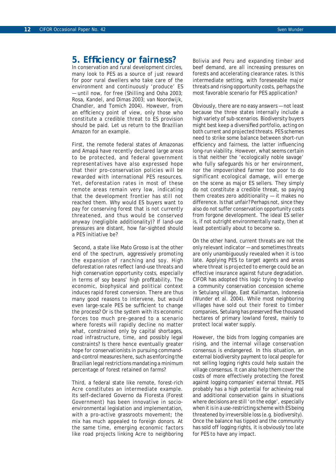## **5. Effi ciency or fairness?**

In conservation and rural development circles, many look to PES as a source of just reward for poor rural dwellers who take care of the environment and continuously 'produce' ES — until now, for free (Shilling and Osha 2003; Rosa, Kandel, and Dimas 2003; van Noordwijk, Chandler, and Tomich 2004). However, from an efficiency point of view, only those who constitute a credible threat to ES provision should be paid. Let us return to the Brazilian Amazon for an example.

First, the remote federal states of Amazonas and Amapá have recently declared large areas to be protected, and federal government representatives have also expressed hope that their pro-conservation policies will be rewarded with international PES resources. Yet, deforestation rates in most of these remote areas remain very low, indicating that the development frontier has still not reached them. Why would ES buyers want to pay for conserving forest that is not currently threatened, and thus would be conserved anyway (negligible additionality)? If land-use pressures are distant, how far-sighted should a PES initiative be?

 Second, a state like Mato Grosso is at the other end of the spectrum, aggressively promoting the expansion of ranching and soy. High deforestation rates reflect land-use threats and high conservation opportunity costs, especially in terms of soy beans' high profitability. The economic, biophysical and political context induces rapid forest conversion. There are thus many good reasons to intervene, but would even large-scale PES be sufficient to change the process? Or is the system with its economic forces too much pre-geared to a scenario where forests will rapidly decline no matter what, constrained only by capital shortages, road infrastructure, time, and possibly legal constraints? Is there hence eventually greater hope for conservationists in pursuing commandand-control measures here, such as enforcing the Brazilian legal restrictions mandating a minimum percentage of forest retained on farms?

Third, a federal state like remote, forest-rich Acre constitutes an intermediate example. Its self-declared *Governo da Floresta* (Forest Government) has been innovative in socioenvironmental legislation and implementation, with a pro-active grassroots movement; the mix has much appealed to foreign donors. At the same time, emerging economic factors like road projects linking Acre to neighboring Bolivia and Peru and expanding timber and beef demand, are all increasing pressures on forests and accelerating clearance rates. Is this intermediate setting, with foreseeable major threats and rising opportunity costs, perhaps the most favorable scenario for PES application?

Obviously, there are no easy answers — not least because the three states internally include a high variety of sub-scenarios. Biodiversity buyers might best keep a diversified portfolio, acting on both current and projected threats. PES schemes need to strike some balance between short-run efficiency and fairness, the latter influencing long-run viability. However, what seems certain is that neither the 'ecologically noble savage' who fully safeguards his or her environment, nor the impoverished farmer too poor to do significant ecological damage, will emerge on the scene as major ES sellers. They simply do not constitute a credible threat, so paying them creates zero additionality — it makes no difference. Is that unfair? Perhaps not, since they also do not suffer conservation opportunity costs from forgone development. The ideal ES seller is, if not outright environmentally nasty, then at least potentially about to become so.

On the other hand, current threats are not the only relevant indicator — and sometimes threats are only unambiguously revealed when it is too late. Applying PES to target agents and areas where threat is *projected* to emerge could be an effective insurance against future degradation. CIFOR has adopted this logic trying to develop a community conservation concession scheme in Setulang village, East Kalimantan, Indonesia (Wunder et al. 2004). While most neighboring villages have sold out their forest to timber companies, Setulang has preserved five thousand hectares of primary lowland forest, mainly to protect local water supply.

However, the bids from logging companies are rising, and the internal village conservation consensus is endangered. In this situation, an external biodiversity payment to local people for not selling logging rights could help sustain the village consensus. It can also help them cover the costs of more effectively protecting the forest against logging companies' external threat. PES probably has a high potential for achieving real and additional conservation gains in situations where decisions are still 'on the edge', especially when it is in a use-restricting scheme with ES being threatened by irreversible loss (e.g. biodiversity). Once the balance has tipped and the community has sold off logging rights, it is obviously too late for PES to have any impact.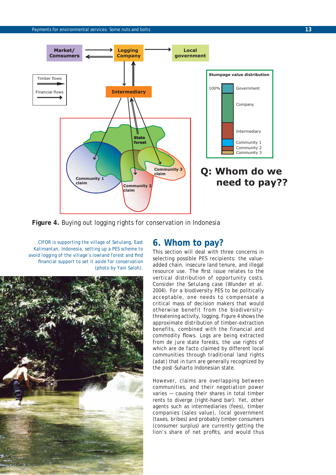

**Figure 4.** Buying out logging rights for conservation in Indonesia

*CIFOR is supporting the village of Setulang, East Kalimantan, Indonesia, setting up a PES scheme to avoid logging of the village's lowland forest and find fi nancial support to set it aside for conservation (photo by Yani Saloh).*



## **6. Whom to pay?**

This section will deal with three concerns in selecting possible PES recipients: the valueadded chain, insecure land tenure, and illegal resource use. The first issue relates to the vertical distribution of opportunity costs. Consider the Setulang case (Wunder et al. 2004). For a biodiversity PES to be politically acceptable, one needs to compensate a critical mass of decision makers that would otherwise benefit from the biodiversitythreatening activity, logging. Figure 4 shows the approximate distribution of timber-extraction benefits, combined with the financial and commodity flows. Logs are being extracted from *de jure* state forests, the use rights of which are *de facto* claimed by different local communities through traditional land rights (*adat*) that in turn are generally recognized by the post-Suharto Indonesian state.

However, claims are overlapping between communities, and their negotiation power varies — causing their shares in total timber rents to diverge (right-hand bar). Yet, other agents such as intermediaries (fees), timber companies (sales value), local government (taxes, bribes) and probably timber consumers (consumer surplus) are currently getting the lion's share of net profits, and would thus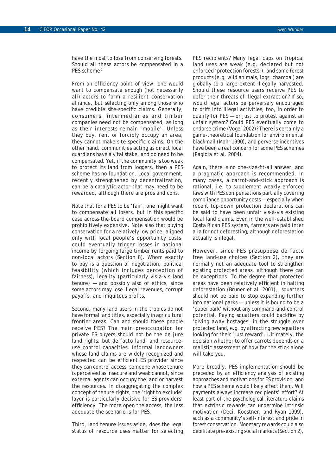have the most to lose from conserving forests. Should all these actors be compensated in a PES scheme?

From an efficiency point of view, one would want to compensate enough (not necessarily all) actors to form a resilient conservation alliance, but selecting only among those who have credible site-specific claims. Generally, consumers, intermediaries and timber companies need not be compensated, as long as their interests remain 'mobile'. Unless they buy, rent or forcibly occupy an area, they cannot make site-specific claims. On the other hand, communities acting as direct local guardians have a vital stake, and do need to be compensated. Yet, if the community is too weak to protect its land from loggers, then a PES scheme has no foundation. Local government, recently strengthened by decentralization, can be a catalytic actor that may need to be rewarded, although there are pros and cons.

Note that for a PES to be 'fair', one might want to compensate all losers, but in this specific case across-the-board compensation would be prohibitively expensive. Note also that buying conservation for a relatively low price, aligned only with local people's opportunity costs, could eventually trigger losses in national income by forgoing large timber rents paid to non-local actors (Section 8). Whom exactly to pay is a question of negotiation, political feasibility (which includes perception of fairness), legality (particularly vis-à-vis land tenure) — and possibly also of ethics, since some actors may lose illegal revenues, corrupt payoffs, and iniquitous profits.

Second, many land users in the tropics do not have formal land titles, especially in agricultural frontier areas. Can and should these people receive PES? The main preoccupation for private ES buyers should not be the *de jure* land rights, but *de facto* land- and resourceuse control capacities. Informal landowners whose land claims are widely recognized and respected can be efficient ES provider since they can control access; someone whose tenure is perceived as insecure and weak cannot, since external agents can occupy the land or harvest the resources. In disaggregating the complex concept of tenure rights, the 'right to exclude' layer is particularly decisive for ES providers' efficiency. The more open the access, the less adequate the scenario is for PES.

Third, land tenure issues aside, does the legal status of resource uses matter for selecting

PES recipients? Many legal caps on tropical land uses are weak (e.g. declared but not enforced 'protection forests'), and some forest products (e.g. wild animals, logs, charcoal) are globally to a large extent illegally harvested. Should these resource users receive PES to defer their threats of illegal extraction? If so, would legal actors be perversely encouraged to drift into illegal activities, too, in order to qualify for PES — or just to protest against an unfair system? Could PES eventually come to endorse crime (Vogel 2002)? There is certainly a game-theoretical foundation for environmental blackmail (Mohr 1990), and perverse incentives have been a real concern for some PES schemes (Pagiola et al. 2004).

Again, there is no one-size-fit-all answer, and a pragmatic approach is recommended. In many cases, a carrot-and-stick approach is rational, i.e. to supplement weakly enforced laws with PES compensations partially covering compliance opportunity costs — especially when recent top-down protection declarations can be said to have been unfair vis-à-vis existing local land claims. Even in the well-established Costa Rican PES system, farmers are paid *inter alia* for not deforesting, although deforestation actually is illegal.

However, since PES presuppose *de facto* free land-use choices (Section 2), they are normally not an adequate tool to strengthen existing protected areas, although there can be exceptions. To the degree that protected areas have been relatively efficient in halting deforestation (Bruner et al. 2001), squatters should not be paid to stop expanding further into national parks — unless it is bound to be a 'paper park' without any command-and-control potential. Paying squatters could backfire by 'giving away hostages' in the struggle over protected land, e.g. by attracting new squatters looking for their 'just reward'. Ultimately, the decision whether to offer carrots depends on a realistic assessment of how far the stick alone will take you.

More broadly, PES implementation should be preceded by an efficiency analysis of existing approaches and motivations for ES provision, and how a PES scheme would likely affect them. Will payments always increase recipients' effort? At least part of the psychological literature claims that extrinsic rewards can undermine intrinsic motivation (Deci, Koestner, and Ryan 1999), such as a community's self-interest and pride in forest conservation. Monetary rewards could also debilitate pre-existing social markets (Section 2),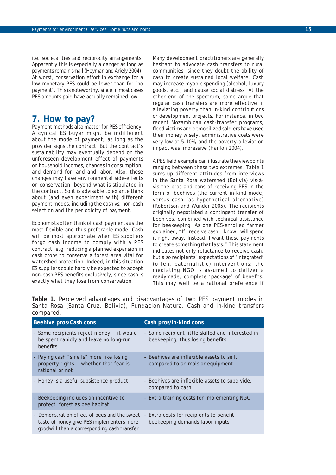i.e. societal ties and reciprocity arrangements. Apparently this is especially a danger as long as payments remain small (Heyman and Ariely 2004). At worst, conservation effort in exchange for a low monetary PES could be lower than for 'no payment'. This is noteworthy, since in most cases PES amounts paid have actually remained low.

## **7. How to pay?**

Payment methods also matter for PES efficiency. A cynical ES buyer might be indifferent about the mode of payment, as long as the provider signs the contract. But the contract's sustainability may eventually depend on the unforeseen development effect of payments on household incomes, changes in consumption, and demand for land and labor. Also, these changes may have environmental side-effects on conservation, beyond what is stipulated in the contract. So it is advisable to *ex ante* think about (and even experiment with) different payment modes, including the cash vs. non-cash selection and the periodicity of payment.

Economists often think of cash payments as the most flexible and thus preferable mode. Cash will be most appropriate when ES suppliers forgo cash income to comply with a PES contract, e.g. reducing a planned expansion in cash crops to conserve a forest area vital for watershed protection. Indeed, in this situation ES suppliers could hardly be expected to accept non-cash PES benefits exclusively, since cash is exactly what they lose from conservation.

Many development practitioners are generally hesitant to advocate cash transfers to rural communities, since they doubt the ability of cash to create sustained local welfare. Cash may increase myopic spending (alcohol, luxury goods, etc.) and cause social distress. At the other end of the spectrum, some argue that regular cash transfers are more effective in alleviating poverty than in-kind contributions or development projects. For instance, in two recent Mozambican cash-transfer programs, flood victims and demobilized soldiers have used their money wisely, administrative costs were very low at 5-10%, and the poverty-alleviation impact was impressive (Hanlon 2004).

A PES field example can illustrate the viewpoints ranging between these two extremes. Table 1 sums up different attitudes from interviews in the Santa Rosa watershed (Bolivia) vis-àvis the pros and cons of receiving PES in the form of beehives (the current in-kind mode) versus cash (as hypothetical alternative) (Robertson and Wunder 2005). The recipients originally negotiated a contingent transfer of beehives, combined with technical assistance for beekeeping. As one PES-enrolled farmer explained, "If I receive cash, I know I will spend it right away. Instead, I want these payments to create something that lasts." This statement indicates not only reluctance to receive cash, but also recipients' expectations of 'integrated' (often, paternalistic) interventions: the mediating NGO is assumed to deliver a readymade, complete 'package' of benefits. This may well be a rational preference if

**Table 1.** Perceived advantages and disadvantages of two PES payment modes in Santa Rosa (Santa Cruz, Bolivia), Fundación Natura. Cash and in-kind transfers compared.

| <b>Beehive pros/Cash cons</b>                                                                                                            | Cash pros/In-kind cons                                                                |  |
|------------------------------------------------------------------------------------------------------------------------------------------|---------------------------------------------------------------------------------------|--|
| - Some recipients reject money - it would<br>be spent rapidly and leave no long-run<br>benefits                                          | - Some recipient little skilled and interested in<br>beekeeping, thus losing benefits |  |
| - Paying cash "smells" more like losing<br>property rights - whether that fear is<br>rational or not                                     | - Beehives are inflexible assets to sell.<br>compared to animals or equipment         |  |
| - Honey is a useful subsistence product                                                                                                  | - Beehives are inflexible assets to subdivide,<br>compared to cash                    |  |
| - Beekeeping includes an incentive to<br>protect forest as bee habitat                                                                   | - Extra training costs for implementing NGO                                           |  |
| - Demonstration effect of bees and the sweet<br>taste of honey give PES implementers more<br>goodwill than a corresponding cash transfer | - Extra costs for recipients to benefit -<br>beekeeping demands labor inputs          |  |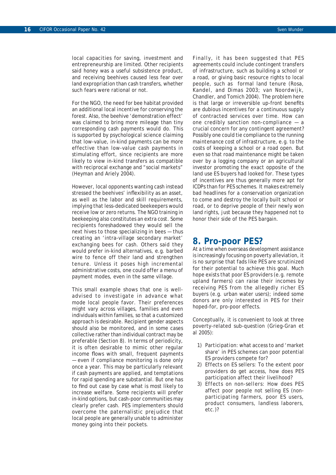local capacities for saving, investment and entrepreneurship are limited. Other recipients said honey was a useful subsistence product, and receiving beehives caused less fear over land expropriation than cash transfers, whether such fears were rational or not.

For the NGO, the need for bee habitat provided an additional local incentive for conserving the forest. Also, the beehive 'demonstration effect' was claimed to bring more mileage than tiny corresponding cash payments would do. This is supported by psychological science claiming that low-value, in-kind payments can be more effective than low-value cash payments in stimulating effort, since recipients are more likely to view in-kind transfers as compatible with reciprocal exchange and "social markets" (Heyman and Ariely 2004).

However, local opponents wanting cash instead stressed the beehives' inflexibility as an asset, as well as the labor and skill requirements, implying that less-dedicated beekeepers would receive low or zero returns. The NGO training in beekeeping also constitutes an extra cost. Some recipients foreshadowed they would *sell* the next hives to those specializing in bees — thus creating an 'intra-village secondary market' exchanging bees for cash. Others said they would prefer in-kind alternatives, e.g. barbed wire to fence off their land and strengthen tenure. Unless it poses high incremental administrative costs, one could offer a menu of payment modes, even in the same village.

This small example shows that one is welladvised to investigate in advance what mode local people favor. Their preferences might vary across villages, families and even individuals within families, so that a customized approach is desirable. Recipient gender aspects should also be monitored, and in some cases collective rather than individual contract may be preferable (Section 8). In terms of periodicity, it is often desirable to mimic other regular income flows with small, frequent payments — even if compliance monitoring is done only once a year. This may be particularly relevant if cash payments are applied, and temptations for rapid spending are substantial. But one has to find out case by case what is most likely to increase welfare. Some recipients will prefer in-kind options, but cash-poor communities may clearly prefer cash. PES implementers should overcome the paternalistic prejudice that local people are generally unable to administer money going into their pockets.

Finally, it has been suggested that PES agreements could include contingent transfers of infrastructure, such as building a school or a road, or giving basic resource rights to local people, such as formal land tenure (Rosa, Kandel, and Dimas 2003; van Noordwijk, Chandler, and Tomich 2004). The problem here is that large or irreversible up-front benefits are dubious incentives for a continuous supply of contracted services over time. How can one credibly sanction non-compliance — a crucial concern for any contingent agreement? Possibly one could tie compliance to the running *maintenance* cost of infrastructure, e.g. to the costs of keeping a school or a road open. But even so that road maintenance might be taken over by a logging company or an agricultural investor promoting the exact opposite of the land use ES buyers had looked for. These types of incentives are thus generally more apt for ICDPs than for PES schemes. It makes extremely bad headlines for a conservation organization to come and destroy the locally built school or road, or to deprive people of their newly won land rights, just because they happened not to honor their side of the PES bargain.

### **8. Pro-poor PES?**

At a time when overseas development assistance is increasingly focusing on poverty alleviation, it is no surprise that fads like PES are scrutinized for their potential to achieve this goal. Much hope exists that poor ES providers (e.g. remote upland farmers) can raise their incomes by receiving PES from the allegedly richer ES buyers (e.g. urban water users); indeed some donors are only interested in PES for their hoped-for, pro-poor effects.

Conceptually, it is convenient to look at three poverty-related sub-question (Grieg-Gran et al 2005):

- 1) *Participation*: what access to and 'market share' in PES schemes can poor potential ES providers compete for?
- 2) *Effects on ES sellers*: To the extent poor providers do get access, how does PES participation affect their livelihood?
- 3) *Effects on non-sellers*: How does PES affect poor people not selling ES (nonparticipating farmers, poor ES users, product consumers, landless laborers, etc.)?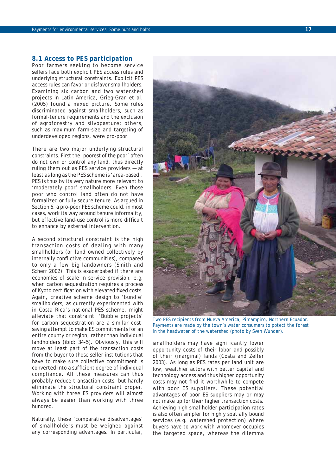#### *8.1 Access to PES participation*

Poor farmers seeking to become service sellers face both explicit PES access rules and underlying structural constraints. Explicit PES access rules can favor or disfavor smallholders. Examining six carbon and two watershed projects in Latin America, Grieg-Gran et al. (2005) found a mixed picture. Some rules discriminated against smallholders, such as formal-tenure requirements and the exclusion of agroforestry and silvopasture; others, such as maximum farm-size and targeting of underdeveloped regions, were pro-poor.

There are two major underlying structural constraints. First the 'poorest of the poor' often do not own or control any land, thus directly ruling them out as PES service providers — at least as long as the PES scheme is 'area-based'. PES is thus by its very nature more relevant to 'moderately poor' smallholders. Even those poor who control land often do not have formalized or fully secure tenure. As argued in Section 6, a pro-poor PES scheme could, in most cases, work its way around tenure informality, but effective land-use control is more difficult to enhance by external intervention.

A second structural constraint is the high transaction costs of dealing with many smallholders (or land owned collectively by internally conflictive communities), compared to only a few big landowners (Smith and Scherr 2002). This is exacerbated if there are economies of scale in service provision, e.g. when carbon sequestration requires a process of Kyoto certification with elevated fixed costs. Again, creative scheme design to 'bundle' smallholders, as currently experimented with in Costa Rica's national PES scheme, might alleviate that constraint. 'Bubble projects' for carbon sequestration are a similar costsaving attempt to make ES commitments for an entire county or region, rather than individual landholders (ibid: 34-5). Obviously, this will move at least part of the transaction costs from the buyer to those seller institutions that have to make sure collective commitment is converted into a sufficient degree of individual compliance. All these measures can thus probably reduce transaction costs, but hardly eliminate the structural constraint proper. Working with three ES providers will almost always be easier than working with three hundred.

Naturally, these 'comparative disadvantages' of smallholders must be weighed against any corresponding advantages. In particular,

*Two PES recipients from Nueva America, Pimampiro, Northern Ecuador. Payments are made by the town's water consumers to potect the forest in the headwater of the watershed (photo by Sven Wunder).*

smallholders may have significantly lower opportunity costs of their labor and possibly of their (marginal) lands (Costa and Zeller 2003). As long as PES rates per land unit are low, wealthier actors with better capital and technology access and thus higher opportunity costs may not find it worthwhile to compete with poor ES suppliers. These potential advantages of poor ES suppliers may or may not make up for their higher transaction costs. Achieving high smallholder participation rates is also often simpler for highly spatially bound services (e.g. watershed protection) where buyers have to work with whomever occupies the targeted space, whereas the dilemma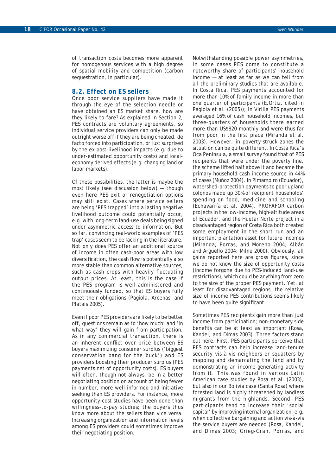of transaction costs becomes more apparent for homogenous services with a high degree of spatial mobility and competition (carbon sequestration, in particular).

#### *8.2. Effect on ES sellers*

Once poor service suppliers have made it through the eye of the selection needle or have obtained an ES market share, how are they likely to fare? As explained in Section 2, PES contracts are voluntary agreements, so individual service providers can only be made outright worse off if they are being cheated, *de facto* forced into participation, or just surprised by the *ex post* livelihood impacts (e.g. due to under-estimated opportunity costs) and localeconomy derived effects (e.g. changing land or labor markets).

Of these possibilities, the latter is maybe the most likely (see discussion below) — though even here PES exit or renegotiation options may still exist. Cases where service sellers are being 'PES trapped' into a lasting negative livelihood outcome could potentially occur, e.g. with long-term land-use deals being signed under asymmetric access to information. But so far, convincing real-world examples of 'PES trap' cases seem to be lacking in the literature. Not only does PES offer an additional source of income in often cash-poor areas with low diversification, the cash flow is potentially also more stable than common alternative sources, such as cash crops with heavily fluctuating output prices. At least, this is the case if the PES program is well-administered and continuously funded, so that ES buyers fully meet their obligations (Pagiola, Arcenas, and Platais 2005).

Even if poor PES providers are likely to be better off, questions remain as to 'how much' and 'in what way' they will gain from participation. As in any commercial transaction, there is an inherent conflict over price between ES buyers maximizing consumer surplus ('biggest conservation bang for the buck') and ES providers boosting their producer surplus (PES payments net of opportunity costs). ES buyers will often, though not always, be in a better negotiating position on account of being fewer in number, more well-informed and initiative seeking than ES providers. For instance, more opportunity-cost studies have been done than willingness-to-pay studies; the buyers thus know more about the sellers than *vice versa*. Increasing organization and information levels among ES providers could sometimes improve their negotiating position.

Notwithstanding possible power asymmetries, in some cases PES come to constitute a noteworthy share of participants' household income — at least as far as we can tell from all the preliminary studies that are available. In Costa Rica, PES payments accounted for more than 10% of family income in more than one quarter of participants (E.Ortiz, cited in Pagiola et al. (2005)); in Virilla PES payments averaged 16% of cash household incomes, but three-quarters of households there earned more than US\$820 monthly and were thus far from poor in the first place (Miranda et al. 2003). However, in poverty-struck zones the situation can be quite different. In Costa Rica's Oca Peninsula, a small survey found that of PES recipients that were under the poverty line, the scheme lifted half above it and became the primary household cash income source in 44% of cases (Muñoz 2004). In Pimampiro (Ecuador), watershed-protection payments to poor upland *colonos* made up 30% of recipient households' spending on food, medicine and schooling (Echavarría et al. 2004). PROFAFOR carbon projects in the low-income, high-altitude areas of Ecuador, and the Huetar Norte project in a disadvantaged region of Costa Rica both created some employment in the short run and an important plantation asset for future incomes (Miranda, Porras, and Moreno 2004; Albán and Argüello 2004; Milne 2000). Obviously, all gains reported here are gross figures, since we do not know the size of opportunity costs (income forgone due to PES-induced land-use restrictions), which could be anything from zero to the size of the proper PES payment. Yet, at least for disadvantaged regions, the relative size of income PES contributions seems likely to have been quite significant.

Sometimes PES recipients gain more than just income from participation; non-monetary side benefits can be at least as important (Rosa, Kandel, and Dimas 2003). Three factors stand out here. First, PES participants perceive that PES contracts can help increase land-tenure security vis-à-vis neighbors or squatters by mapping and demarcating the land and by demonstrating an income-generating activity from it. This was found in various Latin American case studies by Rosa et al. (2003), but also in our Bolivia case (Santa Rosa) where forested land is highly threatened by landless migrants from the highlands. Second, PES participants tend to increase their 'social capital' by improving internal organization, e.g. when collective bargaining and action vis-à-vis the service buyers are needed (Rosa, Kandel, and Dimas 2003; Grieg-Gran, Porras, and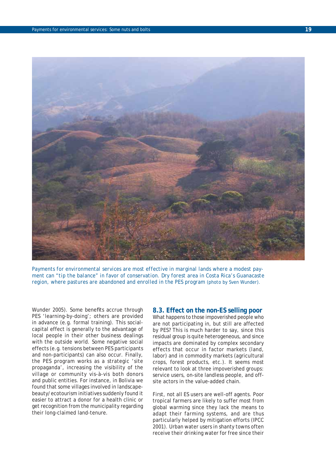

*Payments for environmental services are most effective in marginal lands where a modest payment can "tip the balance" in favor of conservation. Dry forest area in Costa Rica's Guanacaste region, where pastures are abandoned and enrolled in the PES program (photo by Sven Wunder).*

Wunder 2005). Some benefits accrue through PES 'learning-by-doing'; others are provided in advance (e.g. formal training). This socialcapital effect is generally to the advantage of local people in their other business dealings with the outside world. Some negative social effects (e.g. tensions between PES participants and non-participants) can also occur. Finally, the PES program works as a strategic 'site propaganda', increasing the visibility of the village or community vis-à-vis both donors and public entities. For instance, in Bolivia we found that some villages involved in landscapebeauty/ecotourism initiatives suddenly found it easier to attract a donor for a health clinic or get recognition from the municipality regarding their long-claimed land-tenure.

#### *8.3. Effect on the non-ES selling poor*

What happens to those impoverished people who are not participating in, but still are affected by PES? This is much harder to say, since this residual group is quite heterogeneous, and since impacts are dominated by complex secondary effects that occur in factor markets (land, labor) and in commodity markets (agricultural crops, forest products, etc.). It seems most relevant to look at three impoverished groups: service users, on-site landless people, and offsite actors in the value-added chain.

First, not all ES users are well-off agents. Poor tropical farmers are likely to suffer most from global warming since they lack the means to adapt their farming systems, and are thus particularly helped by mitigation efforts (IPCC 2001). Urban water users in shanty towns often receive their drinking water for free since their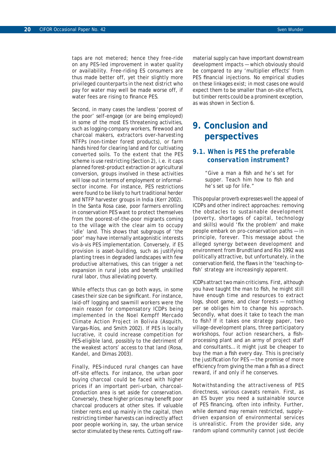taps are not metered; hence they free-ride on any PES-led improvement in water quality or availability. Free-riding ES consumers are thus made better off, yet their slightly more privileged counterparts in the next district who pay for water may well be made worse off, if water fees are rising to finance PES.

Second, in many cases the landless 'poorest of the poor' self-engage (or are being employed) in some of the most ES threatening activities, such as logging-company workers, firewood and charcoal makers, extractors over-harvesting NTFPs (non-timber forest products), or farm hands hired for clearing land and for cultivating converted soils. To the extent that the PES scheme is *use restricting* (Section 2), i.e. it caps planned forest-product extraction or agricultural conversion, groups involved in these activities will lose out in terms of employment or informalsector income. For instance, PES restrictions were found to be likely to hurt traditional herder and NTFP harvester groups in India (Kerr 2002). In the Santa Rosa case, poor farmers enrolling in conservation PES want to protect themselves from the poorest-of-the-poor migrants coming to the village with the clear aim to occupy 'idle' land. This shows that subgroups of 'the poor' may have internally antagonistic interests vis-à-vis PES implementation. Conversely, if ES provision is *asset-building*, such as justifying planting trees in degraded landscapes with few productive alternatives, this can trigger a net expansion in rural jobs and benefit unskilled rural labor, thus alleviating poverty.

While effects thus can go both ways, in some cases their size can be significant. For instance, laid-off logging and sawmill workers were the main reason for compensatory ICDPs being implemented in the Noel Kempff Mercado Climate Action Project in Bolivia (Asquith, Vargas-Ríos, and Smith 2002). If PES is locally lucrative, it could increase competition for PES-eligible land, possibly to the detriment of the weakest actors' access to that land (Rosa, Kandel, and Dimas 2003).

Finally, PES-induced rural changes can have off-site effects. For instance, the urban poor buying charcoal could be faced with higher prices if an important peri-urban, charcoalproduction area is set aside for conservation. Conversely, these higher prices may benefit poor charcoal producers at other sites. If valuable timber rents end up mainly in the capital, then restricting timber harvests can indirectly affect poor people working in, say, the urban service sector stimulated by these rents. Cutting off rawmaterial supply can have important downstream development impacts — which obviously should be compared to any 'multiplier effects' from PES financial injections. No empirical studies on these linkages exist; in most cases one would expect them to be smaller than on-site effects, but timber rents could be a prominent exception, as was shown in Section 6.

## **9. Conclusion and perspectives**

### *9.1. When is PES the preferable conservation instrument?*

"Give a man a fish and he's set for supper. Teach him how to fish and he's set up for life."

This popular proverb expresses well the appeal of ICDPs and other indirect approaches: removing the obstacles to sustainable development (poverty, shortages of capital, technology and skills) would 'fix the problem' and make people embark on pro-conservation paths — in principle, forever. This message about the alleged synergy between development and environment from Brundtland and Rio 1992 was politically attractive, but unfortunately, in the conservation field, the flaws in the 'teaching-tofish' strategy are increasingly apparent.

ICDPs attract two main criticisms. First, although you have taught the man to fish, he might still have enough time and resources to extract logs, shoot game, and clear forests — nothing *per se* obliges him to change his approach. Secondly, what does it take to teach the man to fish? If it takes one strategy paper, two village-development plans, three participatory workshops, four action researchers, a fishprocessing plant and an army of project staff and consultants… it might just be cheaper to buy the man a fish every day. This is precisely the justification for  $PES -$  the promise of more efficiency from giving the man a fish as a direct reward, *if and only if* he conserves.

Notwithstanding the attractiveness of PES directness, various caveats remain. First, as an ES buyer you need a sustainable source of PES financing, often into infinity. Further, while demand may remain restricted, supplydriven expansion of environmental services is unrealistic. From the provider side, any random upland community cannot just decide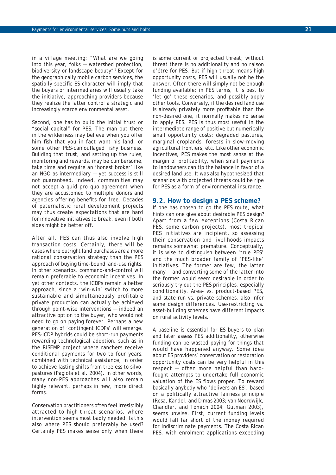in a village meeting: "What are we going into this year, folks — watershed protection, biodiversity or landscape beauty"? Except for the geographically mobile carbon services, the spatially specific ES character will imply that the buyers or intermediaries will usually take the initiative, approaching providers because they realize the latter control a strategic and increasingly scarce environmental asset.

Second, one has to build the initial trust or "social capital" for PES. The man out there in the wilderness may believe when you offer him fish that you in fact want his land, or some other PES-camouflaged fishy business. Building that trust, and setting up the rules, monitoring and rewards, may be cumbersome, take time and require an 'honest broker' like an NGO as intermediary — yet success is still not guaranteed. Indeed, communities may not accept a *quid pro quo* agreement when they are accustomed to multiple donors and agencies offering benefits for free. Decades of paternalistic rural development projects may thus create expectations that are hard for innovative initiatives to break, even if both sides might be better off.

After all, PES can thus also involve high transaction costs. Certainly, there will be cases where outright land purchases are a more rational conservation strategy than the PES approach of buying time-bound land-use rights. In other scenarios, command-and-control will remain preferable to economic incentives. In yet other contexts, the ICDPs remain a better approach, since a 'win-win' switch to more sustainable *and simultaneously* profitable private production can actually be achieved through point-wise interventions — indeed an attractive option to the buyer, who would not need to go on paying forever. Perhaps a new generation of 'contingent ICDPs' will emerge. PES-ICDP hybrids could be short-run payments rewarding technological adoption, such as in the RISEMP project where ranchers receive conditional payments for two to four years, combined with technical assistance, in order to achieve lasting shifts from treeless to silvopastures (Pagiola et al. 2004). In other words, many non-PES approaches will also remain highly relevant, perhaps in new, more direct forms.

Conservation practitioners often feel irresistibly attracted to high-threat scenarios, where intervention seems most badly needed. Is this also where PES should preferably be used? Certainly PES makes sense only when there is some current or projected threat; without threat there is no additionality and no *raison d'être* for PES. But if high threat means high opportunity costs, PES will usually not be the answer. Often there will simply not be enough funding available; in PES terms, it is best to 'let go' these scenarios, and possibly apply other tools. Conversely, if the desired land use is already privately more profitable than the non-desired one, it normally makes no sense to apply PES. PES is thus most useful in the *intermediate* range of positive but numerically small opportunity costs: degraded pastures, marginal croplands, forests in slow-moving agricultural frontiers, etc. Like other economic incentives, PES makes the most sense at the margin of profitability, when small payments to landowners can tip the balance in favor of a desired land use. It was also hypothesized that scenarios with *projected* threats could be ripe for PES as a form of environmental insurance.

#### *9.2. How to design a PES scheme?*

If one has chosen to go the PES route, what hints can one give about desirable PES design? Apart from a few exceptions (Costa Rican PES, some carbon projects), most tropical PES initiatives are incipient, so assessing their conservation and livelihoods impacts remains somewhat premature. Conceptually, it is wise to distinguish between 'true PES' and the much broader family of 'PES-like' initiatives. The former are few, the latter many — and converting some of the latter into the former would seem desirable in order to seriously try out the PES principles, especially conditionality. Area- vs. product-based PES, and state-run vs. private schemes, also infer some design differences. Use-restricting vs. asset-building schemes have different impacts on rural activity levels.

A baseline is essential for ES buyers to plan and later assess PES additionality, otherwise funding can be wasted paying for things that would have happened anyway. Some idea about ES providers' conservation or restoration opportunity costs can be very helpful in this respect — often more helpful than hardfought attempts to undertake full economic valuation of the ES flows proper. To reward basically anybody who 'delivers an ES', based on a politically attractive fairness principle (Rosa, Kandel, and Dimas 2003; van Noordwijk, Chandler, and Tomich 2004; Gutman 2003), seems unwise. First, current funding levels would fall far short of the money required for indiscriminate payments. The Costa Rican PES, with enrolment applications exceeding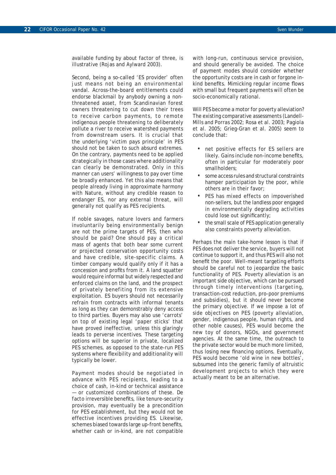available funding by about factor of three, is illustrative (Rojas and Aylward 2003).

Second, being a so-called 'ES provider' often just means *not being* an environmental vandal. Across-the-board entitlements could endorse blackmail by anybody owning a nonthreatened asset, from Scandinavian forest owners threatening to cut down their trees to receive carbon payments, to remote indigenous people threatening to deliberately pollute a river to receive watershed payments from downstream users. It is crucial that the underlying 'victim pays principle' in PES should not be taken to such absurd extremes. On the contrary, payments need to be applied strategically in those cases where additionality can clearly be demonstrated. Only in this manner can users' willingness to pay over time be broadly enhanced. Yet this also means that people already living in approximate harmony with Nature, without any credible reason to endanger ES, nor any external threat, will generally not qualify as PES recipients.

If noble savages, nature lovers and farmers involuntarily being environmentally benign are not the prime targets of PES, then who should be paid? One should pay a critical mass of agents that both bear some current or projected conservation opportunity costs and have credible, site-specific claims. A timber company would qualify only if it has a concession and profits from it. A land squatter would require informal but widely respected and enforced claims on the land, and the prospect of privately benefiting from its extensive exploitation. ES buyers should not necessarily refrain from contracts with informal tenants as long as they can demonstrably deny access to third parties. Buyers may also use 'carrots' on top of existing legal 'paper sticks' that have proved ineffective, unless this glaringly leads to perverse incentives. These targeting options will be superior in private, localized PES schemes, as opposed to the state-run PES systems where flexibility and additionality will typically be lower.

Payment modes should be negotiated in advance with PES recipients, leading to a choice of cash, in-kind or technical assistance — or customized combinations of these. *De facto* irreversible benefits, like tenure-security provision, may eventually be a precondition for PES establishment, but they would not be effective incentives providing ES. Likewise, schemes biased towards large up-front benefits, whether cash or in-kind, are not compatible

with long-run, continuous service provision, and should generally be avoided. The choice of payment modes should consider whether the opportunity costs are in cash or forgone inkind benefits. Mimicking regular income flows with small but frequent payments will often be socio-economically rational.

Will PES become a motor for poverty alleviation? The existing comparative assessments (Landell-Mills and Porras 2002; Rosa et al. 2003; Pagiola et al. 2005; Grieg-Gran et al. 2005) seem to conclude that:

- net positive effects for ES sellers are likely. Gains include non-income benefits, often in particular for moderately poor smallholders;
- some access rules and structural constraints hamper participation by the poor, while others are in their favor;
- PES has mixed effects on impoverished non-sellers, but the landless poor engaged in environmentally degrading activities could lose out significantly;
- the small scale of PES application generally also constraints poverty alleviation.

Perhaps the main take-home lesson is that if PES does not deliver the service, buyers will not continue to support it, and thus PES will also not benefit the poor. Well-meant targeting efforts should be careful not to jeopardize the basic functionality of PES. Poverty alleviation is an important side objective, which can be pursued through timely interventions (targeting, transaction-cost reduction, pro-poor premiums and subsidies), but it should never become the *primary* objective. If we impose a lot of side objectives on PES (poverty alleviation, gender, indigenous people, human rights, and other noble causes), PES would become the new toy of donors, NGOs, and government agencies. At the same time, the outreach to the private sector would be much more limited, thus losing new financing options. Eventually, PES would become 'old wine in new bottles', subsumed into the generic family of altruistic development projects to which they were actually meant to be an alternative.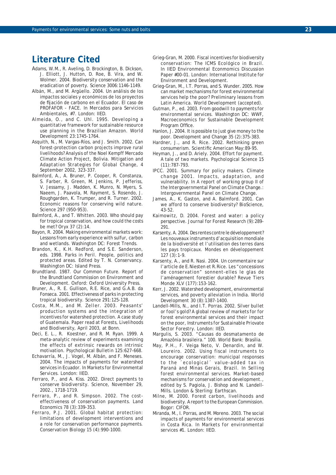## **Literature Cited**

- Adams, W.M., R. Aveling, D. Brockington, B. Dickson, J. Elliott, J. Hutton, D. Roe, B. Vira, and W. Wolmer. 2004. Biodiversity conservation and the eradication of poverty. *Science* 3006:1146-1149.
- Albán, M., and M. Argüello. 2004. Un análisis de los impactos sociales y económicos de los proyectos de fijación de carbono en el Ecuador. El caso de PROFAFOR - FACE. In *Mercados para Servicios Ambientales, #7*. London: IIED.
- Almeida, O., and C. Uhl. 1995. Developing a quantitative framework for sustainable resource use planning in the Brazilian Amazon. World Development 23:1745-1764.
- Asquith, N., M. Vargas-Ríos, and J. Smith. 2002. Can forest-protection carbon projects improve rural livelihoods? Analysis of the Noel Kempff Mercado Climate Action Project, Bolivia. *Mitigation and Adaptation Strategies for Global Change*, 4 September 2002, 323-337.
- Balmford, A., A. Bruner, P. Cooper, R. Constanza, S. Farber, R. Green, M. Jenkins, P. Jefferiss, V. Jessamy, J. Madden, K. Munro, N. Myers, S. Naeem, J. Paavola, M. Rayment, S. Rosendo, J. Roughgarden, K. Trumper, and R. Turner. 2002. Economic reasons for conserving wild nature. *Science* 297 (950-953).
- Balmford, A., and T. Whitten. 2003. Who should pay for tropical conservation, and how could the costs be met? *Oryx* 37 (2):14.
- Bayon, R. 2004. Making environmental markets work: Lessons from early experience with sulfur, carbon and wetlands. Washington DC: Forest Trends.
- Brandon, K., K.H. Redford, and S.E. Sanderson, eds. 1998. *Parks in Peril. People, politics and protected areas.* Edited by T. N. Conservancy. Washington DC: Island Press.
- Brundtland. 1987. Our Common Future. Report of the Brundtland Commission on Environment and Development. Oxford: Oxford University Press.
- Bruner, A., R. E. Gullison, R.E. Rice, and G.A.B. da Fonseca. 2001. Effectiveness of parks in protecting tropical biodiversity. *Science* 291:125-128.
- Costa, M.M., and M. Zeller. 2003. Peasants' production systems and the integration of incentives for watershed protection. A case study of Guatemala. Paper read at Forests, Livelihoods and Biodiversity, April 2003, at Bonn.
- Deci, E. L., R. Koestner, and R. M. Ryan. 1999. A meta-analytic review of experiments examining the effects of extrinsic rewards on intrinsic motivation. *Psychological Bulletin* 125:627-668.
- Echavarría, M., J. Vogel, M. Albán, and F. Meneses. 2004. The impacts of payments for watershed services in Ecuador. In *Markets for Environmental Services.* London: IIED.
- Ferraro, P., and A. Kiss. 2002. Direct payments to conserve biodiversity. *Science*, November 29, 2002., 1718-1719.
- Ferraro, P., and R. Simpson. 2002. The costeffectiveness of conservation payments. *Land Economics* 78 (3):339-353.
- Ferraro, P.J. 2001. Global habitat protection: limitations of development interventions and a role for conservation performance payments. *Conservation Biology* 15 (4):990-1000.
- Grieg-Gran, M. 2000. Fiscal incentives for biodiversity conservation: The ICMS Ecológico in Brazil. In *IIED Environmental Econmomics Discussion Paper #00-01*. London: International Institute for Environment and Development.
- Grieg-Gran, M., I.T. Porras, and S. Wunder. 2005. How can market mechanisms for forest environmental services help the poor? Preliminary lessons from Latin America. *World Development (accepted)*.
- Gutman, P., ed. 2003. *From goodwill to payments for environmental services*. Washington DC: WWF, Macroeconomics for Sustainable Development Program Office.
- Hanlon, J. 2004. It is possible to just give money to the poor. *Development and Change* 35 (2):375-383.
- Hardner, J., and R. Rice. 2002. Rethinking green consumerism. *Scientifi c American* May:89-95.
- Heyman, J., and D. Ariely. 2004. Effort for payment. A tale of two markets. *Psychological Science* 15 (11):787-793.
- IPCC. 2001. Summary for policy makers. Climate change 2001. Impacts, adaptation, and vulnerability. In *A report of working group II of the Intergovernmental Panel on Climate Change.*: Intergovernmental Panel on Climate Change.
- James, A., K. Gaston, and A. Balmford. 2001. Can we afford to conserve biodiversity? *BioScience*, 43-52.
- Kaimowitz, D. 2004. Forest and water: a policy perspective. *Journal for Forest Research* (9):289- 291.
- Karsenty, A. 2004. Des rentes contre le développement? Les nouveaux instruments d'acquisition mondiale de la biodiversité et l'utilisation des terres dans les pays tropicaux. *Mondes en développement* 127 (3):1-9.
- Karsenty, A., and R. Nasi. 2004. Un commentaire sur l'article de E.Niesten et R.Rice. Les "concessions de conservation" sonnent-elles le glas de l'aménagement forestier durable? *Revue Tiers Monde* XLV (177):153-162.
- Kerr, J. 2002. Watershed development, environmental services, and poverty alleviation in India. *World Development* 30 (8):1387-1400.
- Landell-Mills, N., and I.T. Porras. 2002. *Silver bullet or fool's gold? A global review of markets for for forest environmental services and their impact on the poor*, *Instruments for Sustainable Priovate Sector Forestry*. London: IIED.
- Margulis, S. 2003. "Causas do desmatamento de Amazônia brasileira." 100. World Bank: Brasília.
- May, P.H., F. Veiga Neto, V. Denardin, and W. Loureiro. 2002. Using fiscal instruments to encourage conservation: municipal responses to the ´ecological´ value-added tax in Paraná and Minas Gerais, Brazil. In *Selling forest environmental services. Market-based mechanisms for conservation and development.*, edited by S. Pagiola, J. Bishop and N. Landell-Mills. London & Sterling: Earthscan.
- Milne, M. 2000. Forest carbon, livelihoods and biodiversity. A report to the European Commission. Bogor: CIFOR.
- Miranda, M., I. Porras, and M. Moreno. 2003. The social impacts of payments for environmental services in Costa Rica. In *Markets for environmental services #1*. London: IIED.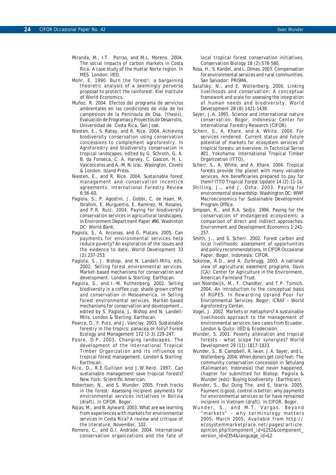- Miranda, M., I.T. Porras, and M.L. Moreno. 2004. The social impacts of carbon markets in Costa Rica. A case study of the Huetar Norte region. In *MES*. London: IIED.
- Mohr, E. 1990. Burn the forest!: a bargaining theoretic analysis of a seemingly perverse proposal to protect the rainforest: Kiel Institute of World Economics.
- Muñoz, R. 2004. Efectos del programa de servicios ambientales en las condiciones de vida de los campesinos de la Península de Osa, (thesis), Evaluación de Programas y Proyectos de Desarrollo, Universidad de Costa Rica, San José.
- Niesten, E., S. Ratay, and R. Rice. 2004. Achieving biodiversity conservation using conservation concessions to complement agroforestry. In *Agroforestry and biodiversity conservation in tropical landscapes*, edited by G. Schroth, G. A. B. da Fonseca, C. A. Harvey, C. Gascon, H. L. Vasconcelos and A.-M. N. Izac. Wasington, Covelo & London: Island Press.
- Niesten, E., and R. Rice. 2004. Sustainable forest management and conservation incentice agreements. *International Forestry Review* 6:56-60.
- Pagiola, S., P. Agostini, J. Gobbi, C. de Haan, M. Ibrahim, E. Murgueitio, E. Ramírez, M. Rosales, and P.R. Ruíz. 2004. Paying for biodiversity conservation services in agricultural landscapes. In *Environment Department Paper #96*. Washinton DC: World Bank.
- Pagiola, S., A. Arcenas, and G. Platais. 2005. Can payments for environmental services help reduce poverty? An exploration of the issues and the evidence to date. *World Development* 33 (2):237-253.
- Pagiola, S., J. Bishop, and N. Landell-Mills, eds. 2002. *Selling forest environmental services. Market-based mechanisms for conservation and development.* London & Sterling: Earthscan.
- Pagiola, S., and I.-M. Ruthenberg. 2002. Selling biodiversity in a coffee cup: shade-grown coffee and conservation in Mesoamerica. In *Selling forest environmental services. Market-based mechanisms for conservation and development.*, edited by S. Pagiola, J. Bishop and N. Landell-Mills. London & Sterling: Earthscan.
- Pearce, D., F. Putz, and J. Vanclay. 2003. Sustainable forestry in the tropics: panacea or folly? *Forest Ecology and Management* 172 (2-3):229-247.
- Poore, D.P. 2003. *Changing landscapes. The development of the International Tropical Timber Organization and its influence on tropical forest management*. London & Sterling: **Earthscan**
- Rice, D., R.E.Gullison and J.W.Reid. 1997. *Can sustainable management save tropical forests?* New York: Scientific American.
- Robertson, N., and S. Wunder. 2005. Fresh tracks in the forest: Assessing incipient payments for environmental services initiatives in Bolivia (draft). In *CIFOR*. Bogor.
- Rojas, M., and B. Aylward. 2003. What are we learning from experiences with markets for environmental services in Costa Rica? *A review and critique of the literature*, November, 102.
- Romero, C., and G.I. Andrade. 2004. International conservation organizations and the fate of

local tropical forest conservation initiatives. *Conservation Biology* 18 (2):578-580.

- Rosa, H., S. Kandel, and L. Dimas. 2003. Compensation for environmental services and rural communities. San Salvador: PRISMA.
- Salafsky, N., and E. Wollenberg. 2000. Linking livelihoods and conservation: A conceptual framework and scale for assessing the integration of human needs and biodiversity. *World Development 28* (8):*1421-1438*.
- Sayer, J.A. 1995. *Science and international nature conservation*. Bogor, Indonesia: Center for International Forestry Research (CIFOR).
- Scherr, S., A. Khare, and A. White. 2004. For services rendered. Current status and future potential of markets for ecosystem services of tropical forests: an overview. In *Technical Series #21*. Yokohama: International Tropical Timber Organization (ITTO).
- Scherr, S., A. White, and A. Khare. 2004. Tropical forests provide the planet with many valuable services. Are beneficiaries prepared to pay for them? *ITTO Tropical Forest Update* 14 (2):11-14.
- Shilling, J., and J. Osha. 2003. Paying for environmental stewardship. Washington DC: WWF Macroeconomics for Sustainable Development Program Office.
- Simpson, R., and R.A. Sedjo. 1996. Paying for the conservation of endangered ecosystems: a comparison of direct and indirect approaches. *Environment and Development Economics* 1:241- 257.
- Smith, J., and S. Scherr. 2002. Forest carbon and local livelihoods: assessment of opportunities and policy recommendations. In *CIFOR Occasional Paper*. Bogor, Indonesia: CIFOR.
- Sokolow, A.D., and A. Zurbrugg. 2003. A national view of agricultural easement programs. Davis (CA): Center for Agriculture in the Environment, American Farmland Trust.
- van Noordwijk, M., F. Chandler, and T.P. Tomich. 2004. An introduction to the conceptual basis of RUPES. In *Rewarding Upland Poor for Envrionmental Services*. Bogor: ICRAF - World Agroforestry Center.
- Vogel, J. 2002. Markets or metaphors? A sustainable livelihoods approach to the management of environmental services: two cases from Ecuador. London & Quito: IIED & Ecodecisión.
- Wunder, S. 2001. Poverty alleviation and tropical forests - what scope for synergies? *World Development* 29 (11):1817-1833.
- Wunder, S., B. Campbell, R. Iwan, J.A. Sayer, and L. Wollenberg. 2004. When donors get cold feet: The community conservation concession in Setulang (Kalimantan, Indonesia) that never happened, chapter for submitted for Bishop, Pagiola & Wunder (eds): Buying biodiversity (Earthscan).
- Wunder, S., Bui Dung The, and E. Ibarra. 2005. Payment is good, control is better: why payments for environmental services so far have remained incipient in Vietnam (draft). In *CIFOR*. Bogor.
- Wunder, S., and M.T. Vargas. *Beyond "markets" - why terminology matters* 2005, March 2005, Available from *http:// ecosystemmarketplace.net/pages/article. opinion.php?component\_id=1252&component\_ version\_id=2354&language\_id=12*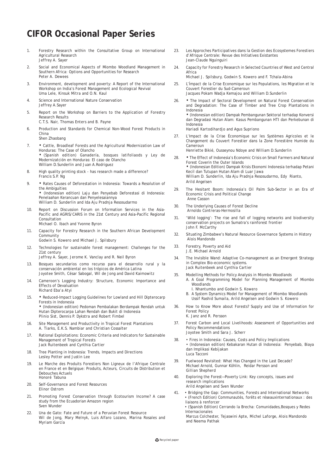## **CIFOR Occasional Paper Series**

- 1. Forestry Research within the Consultative Group on International Agricultural Research *Jeffrey A. Sayer*
- 2. Social and Economical Aspects of Miombo Woodland Management in Southern Africa: Options and Opportunities for Research *Peter A. Dewees*
- 3. Environment, development and poverty: A Report of the International Workshop on India's Forest Management and Ecological Revival *Uma Lele, Kinsuk Mitra and O.N. Kaul*
- 4. Science and International Nature Conservation *Jeffrey A.Sayer*
- 5. Report on the Workshop on Barriers to the Application of Forestry Research Results *C.T.S. Nair, Thomas Enters and B. Payne*
- 6. Production and Standards for Chemical Non-Wood Forest Products in China

*Shen Zhaobang*

7. • Cattle, Broadleaf Forests and the Agricultural Modernization Law of Honduras: The Case of Olancho • (Spanish edition) Ganadería, bosques latifoliaods y Ley de

Modernizatción en Honduras: El caso de Olancho William D.Sunderlin and Juan A.Rodriguez

- 8. High quality printing stock has research made a difference? *Francis S.P. Ng*
- 9. Rates Causes of Deforestation in Indonesia: Towards a Resolution of the Ambiguities • (Indonesian edition) Laju dan Penyebab Deforestasi di Indonesia:

Penelaahan Kerancuan dan Penyelesaiannya *William D. Sunderlin and Ida Aju Pradnja Resosudarmo*

- 10. Report on Discussion Forum on Irformation Services in the Asia-Pacific and AGRIS/CARIS in the 21st Century and Asia-Pacific Regional Consultation *Michael O. Ibach and Yvonne Byron*
	-
- 11. Capacity for Forestry Research in the Southern African Development **Community** *Godwin S. Kowero and Michael J. Spilsbury*
	-
- 12. Technologies for sustainable forest management: Challenges for the 21st century
	- *Jeffrey A. Sayer, Jerome K. Vanclay and R. Neil Byron*
- 13. Bosques secundarios como recurso para el desarrollo rural y la conservación ambiental en los trópicos de América Latina *Joyotee Smith, César Sabogal, Wil de Jong and David Kaimowitz*
- 14. Cameroon's Logging Industry: Structure, Economic Importance and Effects of Devaluation *Richard Eba'a Atyi*
- 15. Reduced-Impact Logging Guidelines for Lowland and Hill Dipterocarp Forests in Indonesia • (Indonesian edition) Pedoman Pembalakan Berdampak Rendah untuk Hutan Dipterocarpa Lahan Rendah dan Bukit di Indonesia *Plinio Sist, Dennis P. Dykstra and Robert Fimbel*
- 16. Site Management and Productivity in Tropical Forest Plantations *A. Tiarks, E.K.S. Nambiar and Christian Cossalter*
- 17. Rational Exploitations: Economic Criteria and Indicators for Sustainable Management of Tropical Forests *Jack Ruitenbeek and Cynthia Cartier*
- 18. Tree Planting in Indonesia: Trends, Impacts and Directions *Lesley Potter and Justin Lee*
- 19. Le Marche des Produits Forestiers Non Ligneux de l'Afrique Centrale en France et en Belgique: Produits, Acteurs, Circuits de Distribution et Debouches Actuels *Honoré Tabuna*
- 20. Self-Governance and Forest Resources *Elinor Ostrom*
- 21. Promoting Forest Conservation through Ecotourism Income? A case study from the Ecuadorian Amazon region *Sven Wunder*
- 22. Una de Gato: Fate and Future of a Peruvian Forest Resource *Wil de Jong, Mary Melnyk, Luis Alfaro Lozano, Marina Rosales and Myriam García*
- 23. Les Approches Participatives dans la Gestion des Ecosystemes Forestiers d'Afrique Centrale: Revue des Initiatives Existantes *Jean-Claude Nguinguiri*
- 24. Capacity for Forestry Research in Selected Countries of West and Central Africa
	- *Michael J. Spilsbury, Godwin S. Kowero and F. Tchala-Abina*
- 25. L'Ímpact de la Crise Economique sur les Populations, les Migration et le Couvert Forestier du Sud-Cameroun *Jacques Pokam Wadja Kemajou and William D.Sunderlin*
- 26. The Impact of Sectoral Development on Natural Forest Conservation and Degradation: The Case of Timber and Tree Crop Plantations in Indonesia • (Indonesian edition) Dampak Pembangunan Sektoral terhadap Konversi

dan Degradasi Hutan Alam: Kasus Pembangunan HTI dan Perkebunan di Indonesia

*Hariadi Kartodihardjo and Agus Supriono*

27. L'Impact de la Crise Économique sur les Systèmes Agricoles et le Changement du Couvert Forestier dans la Zone Forestière Humide du Cameroun

*Henriette Bikié, Ousseynou Ndoye and William D.Sunderlin*

- 28. The Effect of Indonesia's Economic Crisis on Small Farmers and Natural Forest Coverin the Outer Islands • (Indonesian Edition) Dampak Krisis Ekonomi Indonesia terhadap Petani Kecil dan Tutupan Hutan Alam di Luar Jawa *William D. Sunderlin, Ida Aju Pradnja Resosudarmo, Edy Rianto, Arild Angelsen*
- 29. The Hesitant Boom: Indonesia's Oil Palm Sub-Sector in an Era of Economic Crisis and Political Change *Anne Casson*
- 30. The Underlying Causes of Forest Decline  *Arnoldo Contreras-Hermosilla*
- 31. 'Wild logging': The rise and fall of logging networks and biodiversity conservation projects on Sumatra's rainforest frontier *John F. McCarthy*
- 32. Situating Zimbabwe's Natural Resource Governance Systems in History  *Alois Mandondo*
- 33. Forestry, Poverty and Aid *J.E. Michael Arnold*
- 34. The Invisible Wand: Adaptive Co-management as an Emergent Strategy in Complex Bio-economic systems. *Jack Ruitenbeek and Cynthia Cartier*
- 35. Modelling Methods for Policy Analysis in Miombo Woodlands A. A Goal Programming Model for Planning Management of Miombo Woodlands
	- *I. Nhantumbo and Godwin S. Kowero*
	- B. A System Dynamics Model for Management of Miombo Woodlands *Ussif Rashid Sumaila, Arild Angelsen and Godwin S. Kowero*
- 36. How to Know More about Forests? Supply and Use of Information for Forest Policy *K. Janz and R. Persson*
- 37. Forest Carbon and Local Livelihoods: Assessment of Opportunities and Policy Recommendations *Joyotee Smith and Sara J. Scherr*
- 38. Fires in Indonesia: Causes, Costs and Policy Implications • (Indonesian edition) Kebakaran Hutan di Indonesia: Penyebab, Biaya dan Implikasi Kebijakan *Luca Tacconi*
- 39. Fuelwood Revisited: What Has Changed in the Last Decade? Michael Arnold, Gunnar Köhlin, Reidar Persson and *Gillian Shepherd*
- 40. Exploring the Forest—Poverty Link: Key concepts, issues and research implications *Arild Angelsen and Sven Wunder*
- 41. Bridging the Gap: Communities, Forests and International Networks • (French Edition) Communautés, forêts et réseauxinternationaux : des liaisons à renforcer
	- (Spanish Edition) Cerrando la Brecha: Comunidades,Bosques y Redes Internacionales

*Marcus Colchester, Tejaswini Apte, Michel Laforge, Alois Mandondo and Neema Pathak*